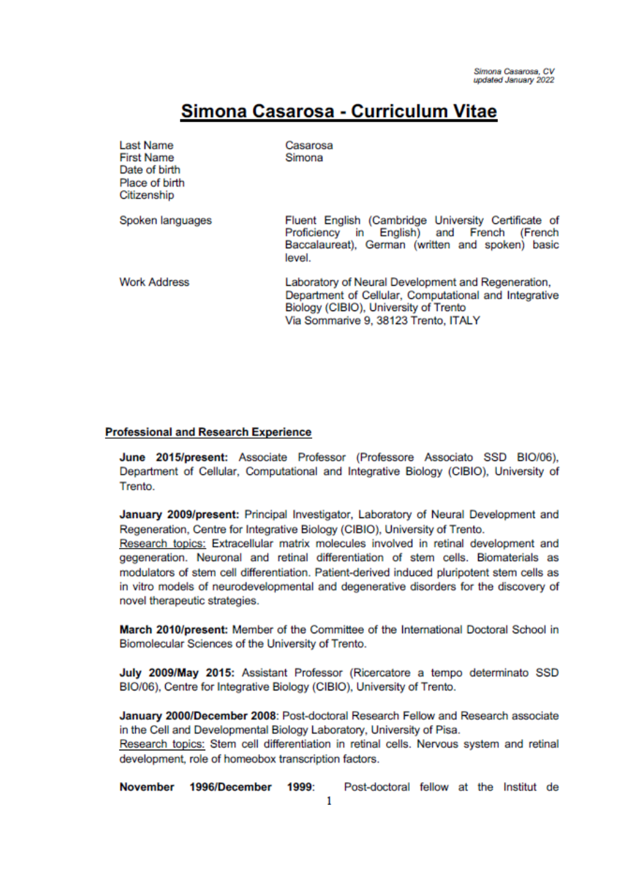# Simona Casarosa - Curriculum Vitae

| Last Name<br><b>First Name</b><br>Date of birth<br>Place of birth<br>Citizenship | Casarosa<br>Simona                                                                                                                                                                           |  |
|----------------------------------------------------------------------------------|----------------------------------------------------------------------------------------------------------------------------------------------------------------------------------------------|--|
| Spoken languages                                                                 | Fluent English (Cambridge University Certificate of<br>Proficiency in English) and French<br>(French<br>Baccalaureat), German (written and spoken) basic<br>level.                           |  |
| <b>Work Address</b>                                                              | Laboratory of Neural Development and Regeneration,<br>Department of Cellular, Computational and Integrative<br>Biology (CIBIO), University of Trento<br>Via Sommarive 9, 38123 Trento, ITALY |  |

#### **Professional and Research Experience**

June 2015/present: Associate Professor (Professore Associato SSD BIO/06), Department of Cellular, Computational and Integrative Biology (CIBIO), University of Trento.

January 2009/present: Principal Investigator, Laboratory of Neural Development and Regeneration, Centre for Integrative Biology (CIBIO), University of Trento.

Research topics: Extracellular matrix molecules involved in retinal development and gegeneration. Neuronal and retinal differentiation of stem cells. Biomaterials as modulators of stem cell differentiation. Patient-derived induced pluripotent stem cells as in vitro models of neurodevelopmental and degenerative disorders for the discovery of novel therapeutic strategies.

March 2010/present: Member of the Committee of the International Doctoral School in Biomolecular Sciences of the University of Trento.

July 2009/May 2015: Assistant Professor (Ricercatore a tempo determinato SSD BIO/06), Centre for Integrative Biology (CIBIO), University of Trento.

January 2000/December 2008: Post-doctoral Research Fellow and Research associate in the Cell and Developmental Biology Laboratory, University of Pisa.

Research topics: Stem cell differentiation in retinal cells. Nervous system and retinal development, role of homeobox transcription factors.

Post-doctoral fellow at the Institut de November 1996/December 1999: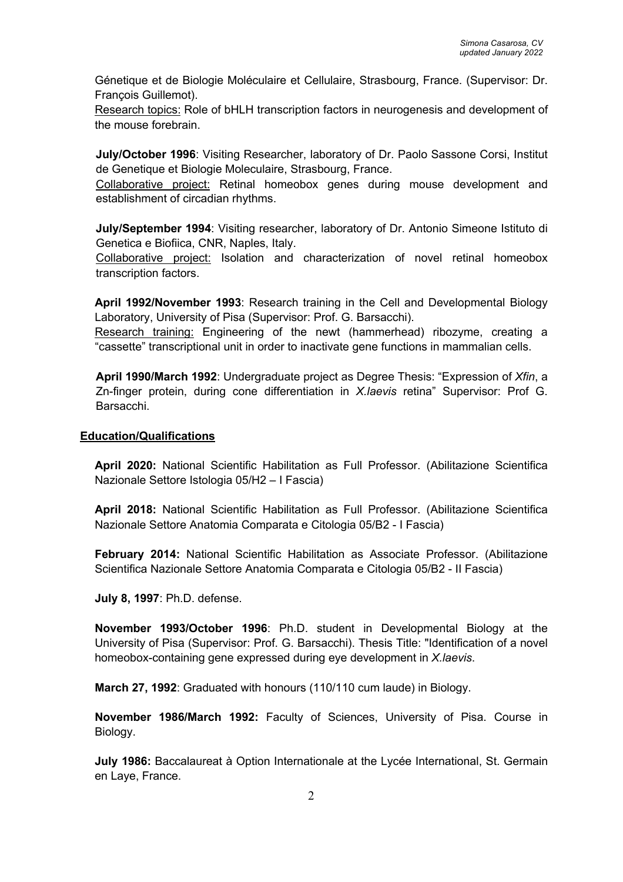Génetique et de Biologie Moléculaire et Cellulaire, Strasbourg, France. (Supervisor: Dr. François Guillemot).

Research topics: Role of bHLH transcription factors in neurogenesis and development of the mouse forebrain.

**July/October 1996**: Visiting Researcher, laboratory of Dr. Paolo Sassone Corsi, Institut de Genetique et Biologie Moleculaire, Strasbourg, France.

Collaborative project: Retinal homeobox genes during mouse development and establishment of circadian rhythms.

**July/September 1994**: Visiting researcher, laboratory of Dr. Antonio Simeone Istituto di Genetica e Biofiica, CNR, Naples, Italy.

Collaborative project: Isolation and characterization of novel retinal homeobox transcription factors.

**April 1992/November 1993**: Research training in the Cell and Developmental Biology Laboratory, University of Pisa (Supervisor: Prof. G. Barsacchi).

Research training: Engineering of the newt (hammerhead) ribozyme, creating a "cassette" transcriptional unit in order to inactivate gene functions in mammalian cells.

**April 1990/March 1992**: Undergraduate project as Degree Thesis: "Expression of *Xfin*, a Zn-finger protein, during cone differentiation in *X.laevis* retina" Supervisor: Prof G. Barsacchi.

### **Education/Qualifications**

**April 2020:** National Scientific Habilitation as Full Professor. (Abilitazione Scientifica Nazionale Settore Istologia 05/H2 – I Fascia)

**April 2018:** National Scientific Habilitation as Full Professor. (Abilitazione Scientifica Nazionale Settore Anatomia Comparata e Citologia 05/B2 - I Fascia)

**February 2014:** National Scientific Habilitation as Associate Professor. (Abilitazione Scientifica Nazionale Settore Anatomia Comparata e Citologia 05/B2 - II Fascia)

**July 8, 1997**: Ph.D. defense.

**November 1993/October 1996**: Ph.D. student in Developmental Biology at the University of Pisa (Supervisor: Prof. G. Barsacchi). Thesis Title: "Identification of a novel homeobox-containing gene expressed during eye development in *X.laevis*.

**March 27, 1992**: Graduated with honours (110/110 cum laude) in Biology.

**November 1986/March 1992:** Faculty of Sciences, University of Pisa. Course in Biology.

**July 1986:** Baccalaureat à Option Internationale at the Lycée International, St. Germain en Laye, France.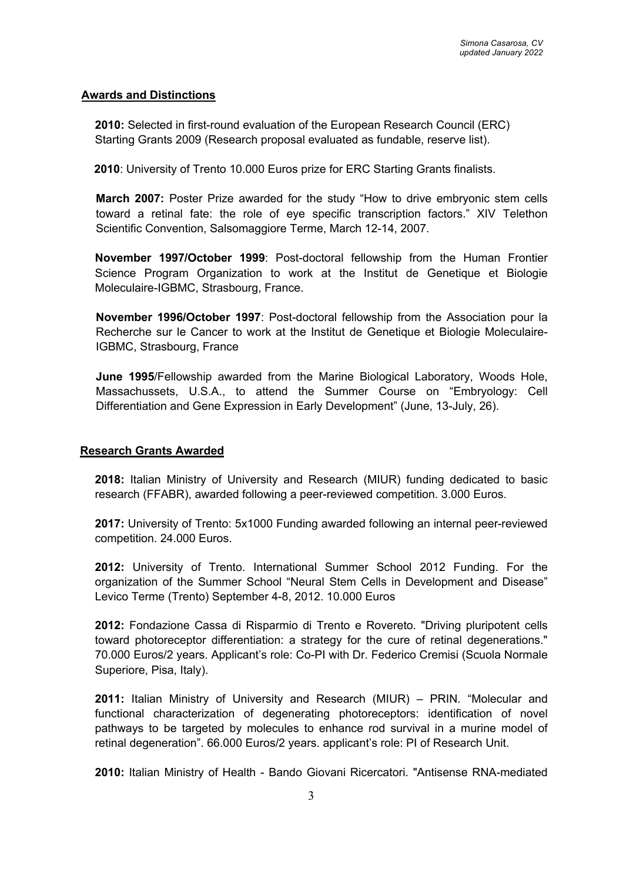### **Awards and Distinctions**

**2010:** Selected in first-round evaluation of the European Research Council (ERC) Starting Grants 2009 (Research proposal evaluated as fundable, reserve list).

**2010**: University of Trento 10.000 Euros prize for ERC Starting Grants finalists.

**March 2007:** Poster Prize awarded for the study "How to drive embryonic stem cells toward a retinal fate: the role of eye specific transcription factors." XIV Telethon Scientific Convention, Salsomaggiore Terme, March 12-14, 2007.

**November 1997/October 1999**: Post-doctoral fellowship from the Human Frontier Science Program Organization to work at the Institut de Genetique et Biologie Moleculaire-IGBMC, Strasbourg, France.

**November 1996/October 1997**: Post-doctoral fellowship from the Association pour la Recherche sur le Cancer to work at the Institut de Genetique et Biologie Moleculaire-IGBMC, Strasbourg, France

**June 1995**/Fellowship awarded from the Marine Biological Laboratory, Woods Hole, Massachussets, U.S.A., to attend the Summer Course on "Embryology: Cell Differentiation and Gene Expression in Early Development" (June, 13-July, 26).

### **Research Grants Awarded**

**2018:** Italian Ministry of University and Research (MIUR) funding dedicated to basic research (FFABR), awarded following a peer-reviewed competition. 3.000 Euros.

**2017:** University of Trento: 5x1000 Funding awarded following an internal peer-reviewed competition. 24.000 Euros.

**2012:** University of Trento. International Summer School 2012 Funding. For the organization of the Summer School "Neural Stem Cells in Development and Disease" Levico Terme (Trento) September 4-8, 2012. 10.000 Euros

**2012:** Fondazione Cassa di Risparmio di Trento e Rovereto. "Driving pluripotent cells toward photoreceptor differentiation: a strategy for the cure of retinal degenerations." 70.000 Euros/2 years. Applicant's role: Co-PI with Dr. Federico Cremisi (Scuola Normale Superiore, Pisa, Italy).

**2011:** Italian Ministry of University and Research (MIUR) – PRIN. "Molecular and functional characterization of degenerating photoreceptors: identification of novel pathways to be targeted by molecules to enhance rod survival in a murine model of retinal degeneration". 66.000 Euros/2 years. applicant's role: PI of Research Unit.

**2010:** Italian Ministry of Health - Bando Giovani Ricercatori. "Antisense RNA-mediated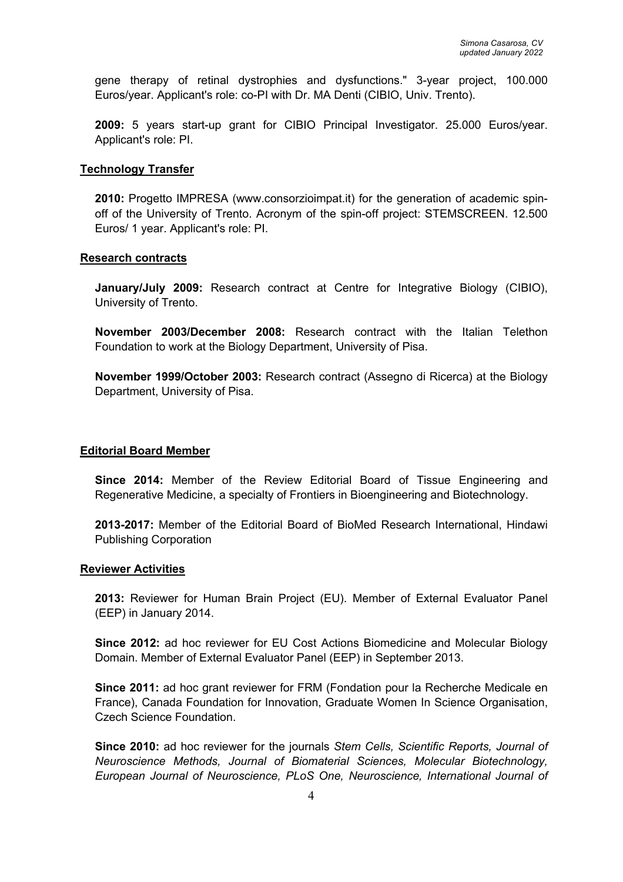gene therapy of retinal dystrophies and dysfunctions." 3-year project, 100.000 Euros/year. Applicant's role: co-PI with Dr. MA Denti (CIBIO, Univ. Trento).

**2009:** 5 years start-up grant for CIBIO Principal Investigator. 25.000 Euros/year. Applicant's role: PI.

#### **Technology Transfer**

**2010:** Progetto IMPRESA (www.consorzioimpat.it) for the generation of academic spinoff of the University of Trento. Acronym of the spin-off project: STEMSCREEN. 12.500 Euros/ 1 year. Applicant's role: PI.

#### **Research contracts**

**January/July 2009:** Research contract at Centre for Integrative Biology (CIBIO), University of Trento.

**November 2003/December 2008:** Research contract with the Italian Telethon Foundation to work at the Biology Department, University of Pisa.

**November 1999/October 2003:** Research contract (Assegno di Ricerca) at the Biology Department, University of Pisa.

### **Editorial Board Member**

**Since 2014:** Member of the Review Editorial Board of Tissue Engineering and Regenerative Medicine, a specialty of Frontiers in Bioengineering and Biotechnology.

**2013-2017:** Member of the Editorial Board of BioMed Research International, Hindawi Publishing Corporation

#### **Reviewer Activities**

**2013:** Reviewer for Human Brain Project (EU). Member of External Evaluator Panel (EEP) in January 2014.

**Since 2012:** ad hoc reviewer for EU Cost Actions Biomedicine and Molecular Biology Domain. Member of External Evaluator Panel (EEP) in September 2013.

**Since 2011:** ad hoc grant reviewer for FRM (Fondation pour la Recherche Medicale en France), Canada Foundation for Innovation, Graduate Women In Science Organisation, Czech Science Foundation.

**Since 2010:** ad hoc reviewer for the journals *Stem Cells, Scientific Reports, Journal of Neuroscience Methods, Journal of Biomaterial Sciences, Molecular Biotechnology, European Journal of Neuroscience, PLoS One, Neuroscience, International Journal of*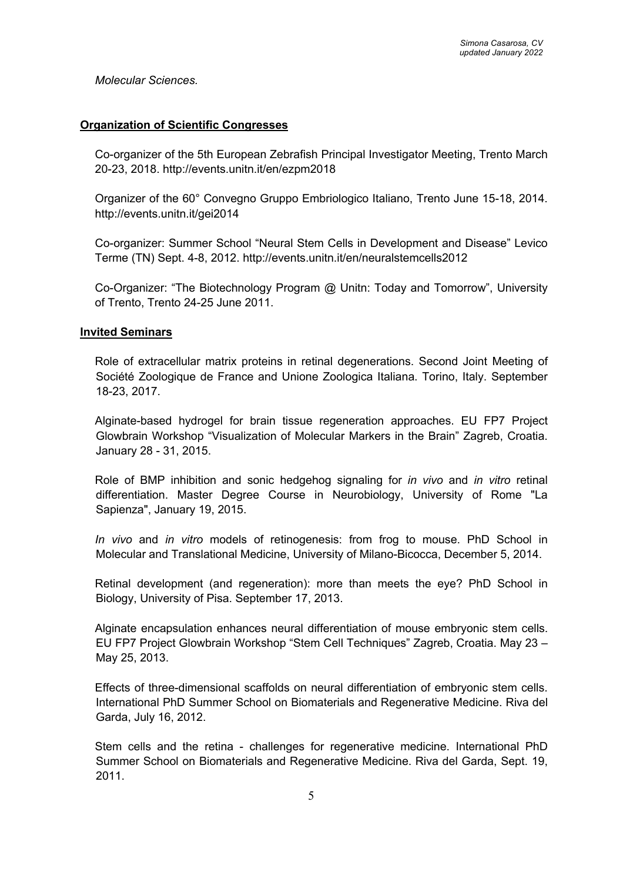*Molecular Sciences.*

#### **Organization of Scientific Congresses**

Co-organizer of the 5th European Zebrafish Principal Investigator Meeting, Trento March 20-23, 2018. http://events.unitn.it/en/ezpm2018

Organizer of the 60° Convegno Gruppo Embriologico Italiano, Trento June 15-18, 2014. http://events.unitn.it/gei2014

Co-organizer: Summer School "Neural Stem Cells in Development and Disease" Levico Terme (TN) Sept. 4-8, 2012. http://events.unitn.it/en/neuralstemcells2012

Co-Organizer: "The Biotechnology Program @ Unitn: Today and Tomorrow", University of Trento, Trento 24-25 June 2011.

#### **Invited Seminars**

Role of extracellular matrix proteins in retinal degenerations. Second Joint Meeting of Société Zoologique de France and Unione Zoologica Italiana. Torino, Italy. September 18-23, 2017.

Alginate-based hydrogel for brain tissue regeneration approaches. EU FP7 Project Glowbrain Workshop "Visualization of Molecular Markers in the Brain" Zagreb, Croatia. January 28 - 31, 2015.

Role of BMP inhibition and sonic hedgehog signaling for *in vivo* and *in vitro* retinal differentiation. Master Degree Course in Neurobiology, University of Rome "La Sapienza", January 19, 2015.

*In vivo* and *in vitro* models of retinogenesis: from frog to mouse. PhD School in Molecular and Translational Medicine, University of Milano-Bicocca, December 5, 2014.

Retinal development (and regeneration): more than meets the eye? PhD School in Biology, University of Pisa. September 17, 2013.

Alginate encapsulation enhances neural differentiation of mouse embryonic stem cells. EU FP7 Project Glowbrain Workshop "Stem Cell Techniques" Zagreb, Croatia. May 23 – May 25, 2013.

Effects of three-dimensional scaffolds on neural differentiation of embryonic stem cells. International PhD Summer School on Biomaterials and Regenerative Medicine. Riva del Garda, July 16, 2012.

Stem cells and the retina - challenges for regenerative medicine. International PhD Summer School on Biomaterials and Regenerative Medicine. Riva del Garda, Sept. 19, 2011.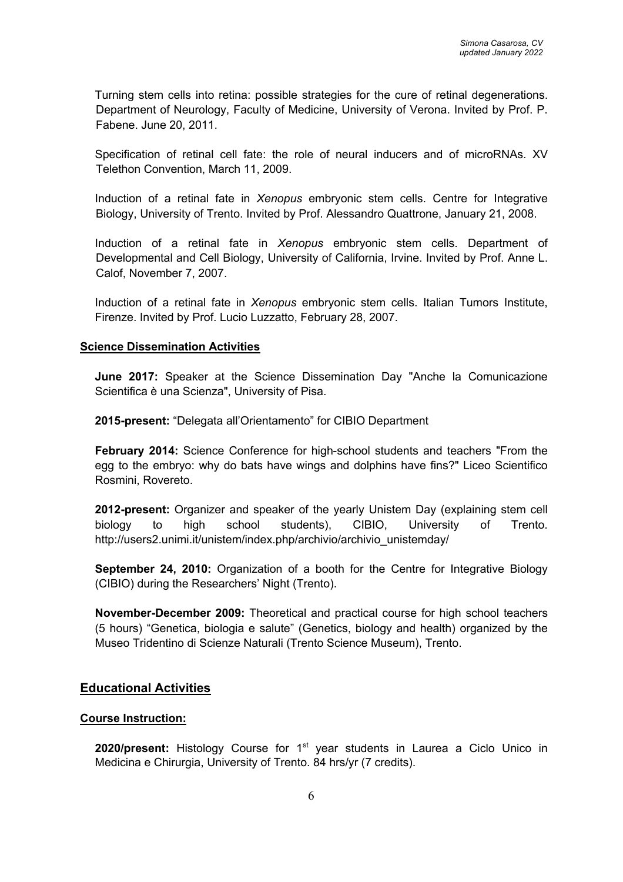Turning stem cells into retina: possible strategies for the cure of retinal degenerations. Department of Neurology, Faculty of Medicine, University of Verona. Invited by Prof. P. Fabene. June 20, 2011.

Specification of retinal cell fate: the role of neural inducers and of microRNAs. XV Telethon Convention, March 11, 2009.

Induction of a retinal fate in *Xenopus* embryonic stem cells. Centre for Integrative Biology, University of Trento. Invited by Prof. Alessandro Quattrone, January 21, 2008.

Induction of a retinal fate in *Xenopus* embryonic stem cells. Department of Developmental and Cell Biology, University of California, Irvine. Invited by Prof. Anne L. Calof, November 7, 2007.

Induction of a retinal fate in *Xenopus* embryonic stem cells. Italian Tumors Institute, Firenze. Invited by Prof. Lucio Luzzatto, February 28, 2007.

### **Science Dissemination Activities**

**June 2017:** Speaker at the Science Dissemination Day "Anche la Comunicazione Scientifica è una Scienza", University of Pisa.

**2015-present:** "Delegata all'Orientamento" for CIBIO Department

**February 2014:** Science Conference for high-school students and teachers "From the egg to the embryo: why do bats have wings and dolphins have fins?" Liceo Scientifico Rosmini, Rovereto.

**2012-present:** Organizer and speaker of the yearly Unistem Day (explaining stem cell biology to high school students), CIBIO, University of Trento. http://users2.unimi.it/unistem/index.php/archivio/archivio\_unistemday/

**September 24, 2010:** Organization of a booth for the Centre for Integrative Biology (CIBIO) during the Researchers' Night (Trento).

**November-December 2009:** Theoretical and practical course for high school teachers (5 hours) "Genetica, biologia e salute" (Genetics, biology and health) organized by the Museo Tridentino di Scienze Naturali (Trento Science Museum), Trento.

### **Educational Activities**

### **Course Instruction:**

2020/present: Histology Course for 1<sup>st</sup> year students in Laurea a Ciclo Unico in Medicina e Chirurgia, University of Trento. 84 hrs/yr (7 credits).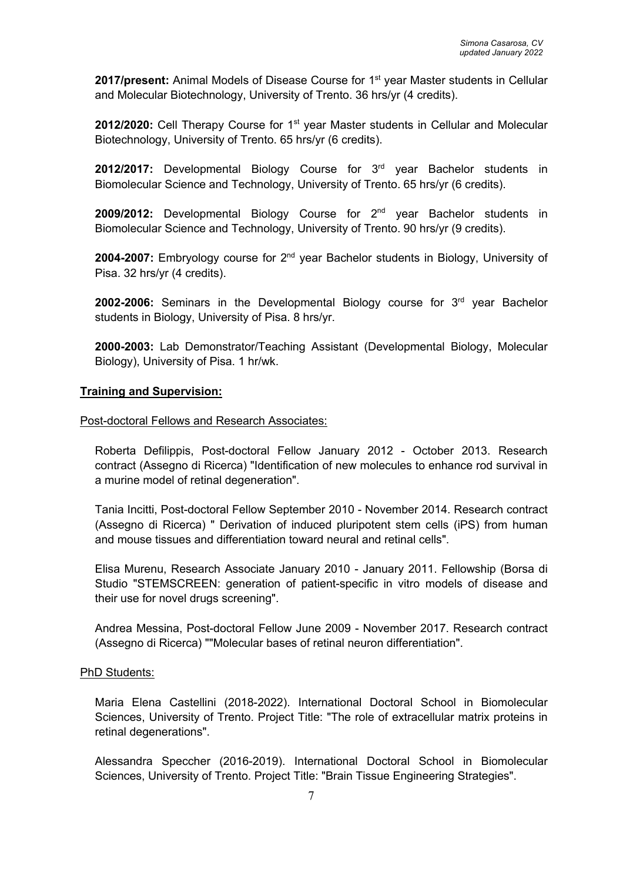2017/present: Animal Models of Disease Course for 1<sup>st</sup> year Master students in Cellular and Molecular Biotechnology, University of Trento. 36 hrs/yr (4 credits).

2012/2020: Cell Therapy Course for 1<sup>st</sup> year Master students in Cellular and Molecular Biotechnology, University of Trento. 65 hrs/yr (6 credits).

2012/2017: Developmental Biology Course for 3<sup>rd</sup> year Bachelor students in Biomolecular Science and Technology, University of Trento. 65 hrs/yr (6 credits).

2009/2012: Developmental Biology Course for 2<sup>nd</sup> year Bachelor students in Biomolecular Science and Technology, University of Trento. 90 hrs/yr (9 credits).

2004-2007: Embryology course for 2<sup>nd</sup> year Bachelor students in Biology, University of Pisa. 32 hrs/yr (4 credits).

**2002-2006:** Seminars in the Developmental Biology course for 3rd year Bachelor students in Biology, University of Pisa. 8 hrs/yr.

**2000-2003:** Lab Demonstrator/Teaching Assistant (Developmental Biology, Molecular Biology), University of Pisa. 1 hr/wk.

### **Training and Supervision:**

Post-doctoral Fellows and Research Associates:

Roberta Defilippis, Post-doctoral Fellow January 2012 - October 2013. Research contract (Assegno di Ricerca) "Identification of new molecules to enhance rod survival in a murine model of retinal degeneration".

Tania Incitti, Post-doctoral Fellow September 2010 - November 2014. Research contract (Assegno di Ricerca) " Derivation of induced pluripotent stem cells (iPS) from human and mouse tissues and differentiation toward neural and retinal cells".

Elisa Murenu, Research Associate January 2010 - January 2011. Fellowship (Borsa di Studio "STEMSCREEN: generation of patient-specific in vitro models of disease and their use for novel drugs screening".

Andrea Messina, Post-doctoral Fellow June 2009 - November 2017. Research contract (Assegno di Ricerca) ""Molecular bases of retinal neuron differentiation".

### PhD Students:

Maria Elena Castellini (2018-2022). International Doctoral School in Biomolecular Sciences, University of Trento. Project Title: "The role of extracellular matrix proteins in retinal degenerations".

Alessandra Speccher (2016-2019). International Doctoral School in Biomolecular Sciences, University of Trento. Project Title: "Brain Tissue Engineering Strategies".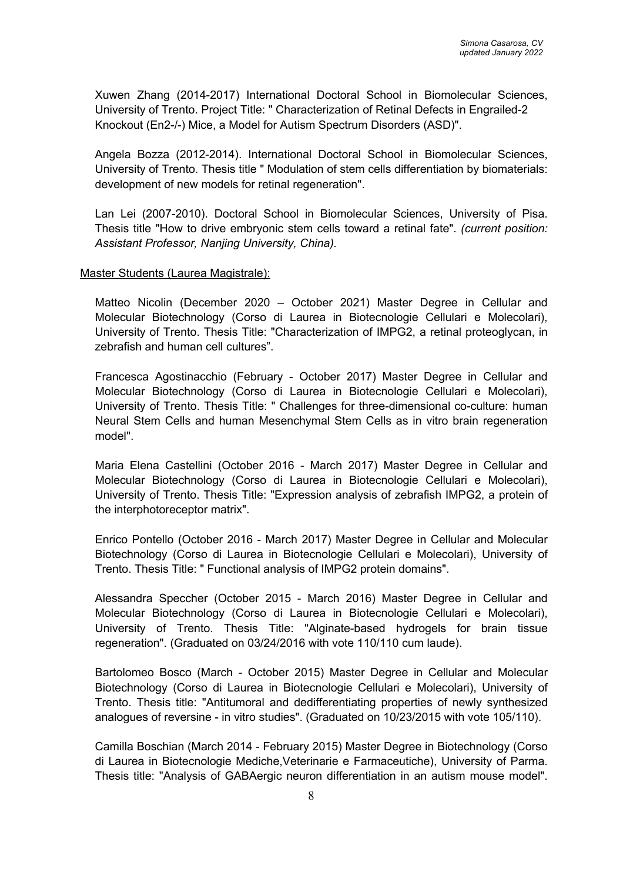Xuwen Zhang (2014-2017) International Doctoral School in Biomolecular Sciences, University of Trento. Project Title: " Characterization of Retinal Defects in Engrailed-2 Knockout (En2-/-) Mice, a Model for Autism Spectrum Disorders (ASD)".

Angela Bozza (2012-2014). International Doctoral School in Biomolecular Sciences, University of Trento. Thesis title " Modulation of stem cells differentiation by biomaterials: development of new models for retinal regeneration".

Lan Lei (2007-2010). Doctoral School in Biomolecular Sciences, University of Pisa. Thesis title "How to drive embryonic stem cells toward a retinal fate". *(current position: Assistant Professor, Nanjing University, China).*

#### Master Students (Laurea Magistrale):

Matteo Nicolin (December 2020 – October 2021) Master Degree in Cellular and Molecular Biotechnology (Corso di Laurea in Biotecnologie Cellulari e Molecolari), University of Trento. Thesis Title: "Characterization of IMPG2, a retinal proteoglycan, in zebrafish and human cell cultures".

Francesca Agostinacchio (February - October 2017) Master Degree in Cellular and Molecular Biotechnology (Corso di Laurea in Biotecnologie Cellulari e Molecolari), University of Trento. Thesis Title: " Challenges for three-dimensional co-culture: human Neural Stem Cells and human Mesenchymal Stem Cells as in vitro brain regeneration model".

Maria Elena Castellini (October 2016 - March 2017) Master Degree in Cellular and Molecular Biotechnology (Corso di Laurea in Biotecnologie Cellulari e Molecolari), University of Trento. Thesis Title: "Expression analysis of zebrafish IMPG2, a protein of the interphotoreceptor matrix".

Enrico Pontello (October 2016 - March 2017) Master Degree in Cellular and Molecular Biotechnology (Corso di Laurea in Biotecnologie Cellulari e Molecolari), University of Trento. Thesis Title: " Functional analysis of IMPG2 protein domains".

Alessandra Speccher (October 2015 - March 2016) Master Degree in Cellular and Molecular Biotechnology (Corso di Laurea in Biotecnologie Cellulari e Molecolari), University of Trento. Thesis Title: "Alginate-based hydrogels for brain tissue regeneration". (Graduated on 03/24/2016 with vote 110/110 cum laude).

Bartolomeo Bosco (March - October 2015) Master Degree in Cellular and Molecular Biotechnology (Corso di Laurea in Biotecnologie Cellulari e Molecolari), University of Trento. Thesis title: "Antitumoral and dedifferentiating properties of newly synthesized analogues of reversine - in vitro studies". (Graduated on 10/23/2015 with vote 105/110).

Camilla Boschian (March 2014 - February 2015) Master Degree in Biotechnology (Corso di Laurea in Biotecnologie Mediche,Veterinarie e Farmaceutiche), University of Parma. Thesis title: "Analysis of GABAergic neuron differentiation in an autism mouse model".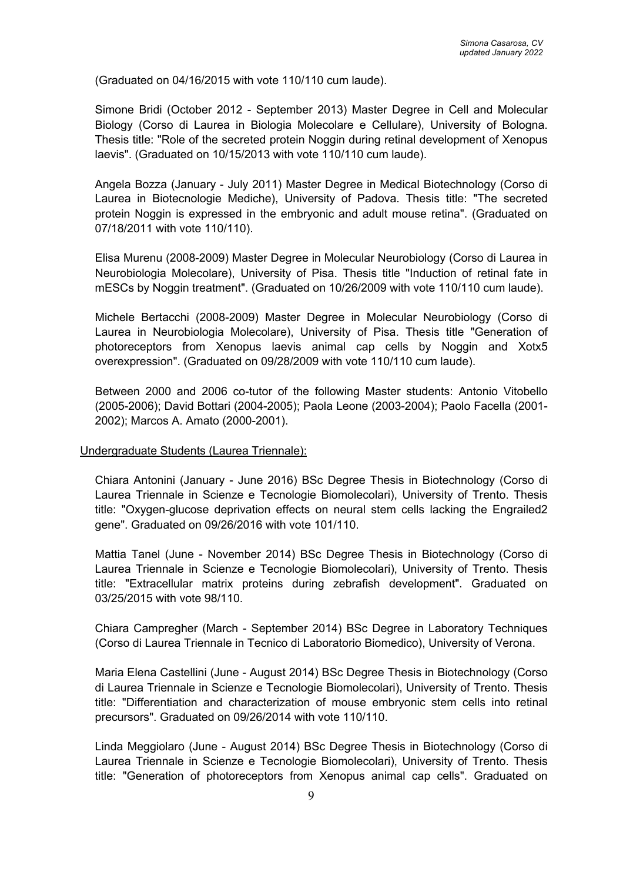(Graduated on 04/16/2015 with vote 110/110 cum laude).

Simone Bridi (October 2012 - September 2013) Master Degree in Cell and Molecular Biology (Corso di Laurea in Biologia Molecolare e Cellulare), University of Bologna. Thesis title: "Role of the secreted protein Noggin during retinal development of Xenopus laevis". (Graduated on 10/15/2013 with vote 110/110 cum laude).

Angela Bozza (January - July 2011) Master Degree in Medical Biotechnology (Corso di Laurea in Biotecnologie Mediche), University of Padova. Thesis title: "The secreted protein Noggin is expressed in the embryonic and adult mouse retina". (Graduated on 07/18/2011 with vote 110/110).

Elisa Murenu (2008-2009) Master Degree in Molecular Neurobiology (Corso di Laurea in Neurobiologia Molecolare), University of Pisa. Thesis title "Induction of retinal fate in mESCs by Noggin treatment". (Graduated on 10/26/2009 with vote 110/110 cum laude).

Michele Bertacchi (2008-2009) Master Degree in Molecular Neurobiology (Corso di Laurea in Neurobiologia Molecolare), University of Pisa. Thesis title "Generation of photoreceptors from Xenopus laevis animal cap cells by Noggin and Xotx5 overexpression". (Graduated on 09/28/2009 with vote 110/110 cum laude).

Between 2000 and 2006 co-tutor of the following Master students: Antonio Vitobello (2005-2006); David Bottari (2004-2005); Paola Leone (2003-2004); Paolo Facella (2001- 2002); Marcos A. Amato (2000-2001).

#### Undergraduate Students (Laurea Triennale):

Chiara Antonini (January - June 2016) BSc Degree Thesis in Biotechnology (Corso di Laurea Triennale in Scienze e Tecnologie Biomolecolari), University of Trento. Thesis title: "Oxygen-glucose deprivation effects on neural stem cells lacking the Engrailed2 gene". Graduated on 09/26/2016 with vote 101/110.

Mattia Tanel (June - November 2014) BSc Degree Thesis in Biotechnology (Corso di Laurea Triennale in Scienze e Tecnologie Biomolecolari), University of Trento. Thesis title: "Extracellular matrix proteins during zebrafish development". Graduated on 03/25/2015 with vote 98/110.

Chiara Campregher (March - September 2014) BSc Degree in Laboratory Techniques (Corso di Laurea Triennale in Tecnico di Laboratorio Biomedico), University of Verona.

Maria Elena Castellini (June - August 2014) BSc Degree Thesis in Biotechnology (Corso di Laurea Triennale in Scienze e Tecnologie Biomolecolari), University of Trento. Thesis title: "Differentiation and characterization of mouse embryonic stem cells into retinal precursors". Graduated on 09/26/2014 with vote 110/110.

Linda Meggiolaro (June - August 2014) BSc Degree Thesis in Biotechnology (Corso di Laurea Triennale in Scienze e Tecnologie Biomolecolari), University of Trento. Thesis title: "Generation of photoreceptors from Xenopus animal cap cells". Graduated on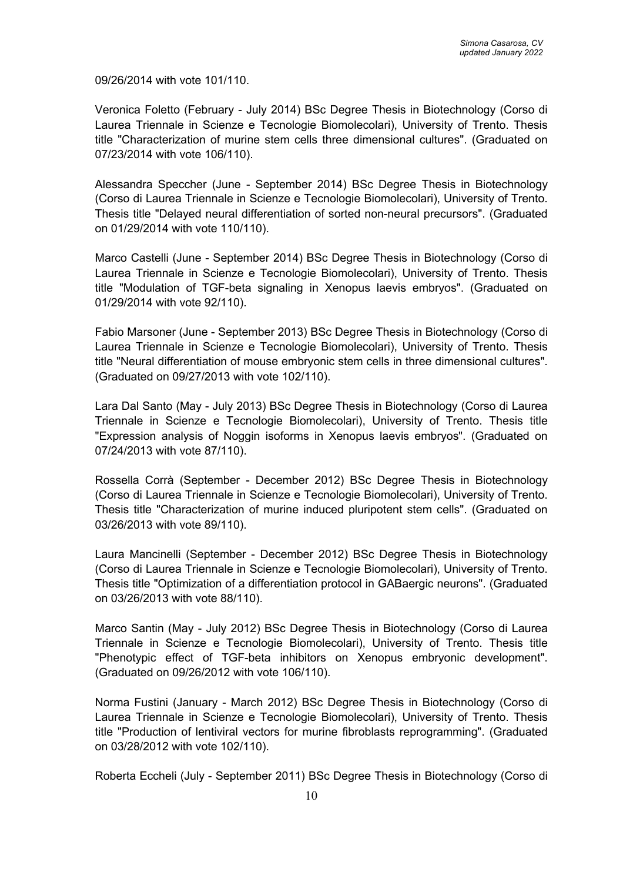09/26/2014 with vote 101/110.

Veronica Foletto (February - July 2014) BSc Degree Thesis in Biotechnology (Corso di Laurea Triennale in Scienze e Tecnologie Biomolecolari), University of Trento. Thesis title "Characterization of murine stem cells three dimensional cultures". (Graduated on 07/23/2014 with vote 106/110).

Alessandra Speccher (June - September 2014) BSc Degree Thesis in Biotechnology (Corso di Laurea Triennale in Scienze e Tecnologie Biomolecolari), University of Trento. Thesis title "Delayed neural differentiation of sorted non-neural precursors". (Graduated on 01/29/2014 with vote 110/110).

Marco Castelli (June - September 2014) BSc Degree Thesis in Biotechnology (Corso di Laurea Triennale in Scienze e Tecnologie Biomolecolari), University of Trento. Thesis title "Modulation of TGF-beta signaling in Xenopus laevis embryos". (Graduated on 01/29/2014 with vote 92/110).

Fabio Marsoner (June - September 2013) BSc Degree Thesis in Biotechnology (Corso di Laurea Triennale in Scienze e Tecnologie Biomolecolari), University of Trento. Thesis title "Neural differentiation of mouse embryonic stem cells in three dimensional cultures". (Graduated on 09/27/2013 with vote 102/110).

Lara Dal Santo (May - July 2013) BSc Degree Thesis in Biotechnology (Corso di Laurea Triennale in Scienze e Tecnologie Biomolecolari), University of Trento. Thesis title "Expression analysis of Noggin isoforms in Xenopus laevis embryos". (Graduated on 07/24/2013 with vote 87/110).

Rossella Corrà (September - December 2012) BSc Degree Thesis in Biotechnology (Corso di Laurea Triennale in Scienze e Tecnologie Biomolecolari), University of Trento. Thesis title "Characterization of murine induced pluripotent stem cells". (Graduated on 03/26/2013 with vote 89/110).

Laura Mancinelli (September - December 2012) BSc Degree Thesis in Biotechnology (Corso di Laurea Triennale in Scienze e Tecnologie Biomolecolari), University of Trento. Thesis title "Optimization of a differentiation protocol in GABaergic neurons". (Graduated on 03/26/2013 with vote 88/110).

Marco Santin (May - July 2012) BSc Degree Thesis in Biotechnology (Corso di Laurea Triennale in Scienze e Tecnologie Biomolecolari), University of Trento. Thesis title "Phenotypic effect of TGF-beta inhibitors on Xenopus embryonic development". (Graduated on 09/26/2012 with vote 106/110).

Norma Fustini (January - March 2012) BSc Degree Thesis in Biotechnology (Corso di Laurea Triennale in Scienze e Tecnologie Biomolecolari), University of Trento. Thesis title "Production of lentiviral vectors for murine fibroblasts reprogramming". (Graduated on 03/28/2012 with vote 102/110).

Roberta Eccheli (July - September 2011) BSc Degree Thesis in Biotechnology (Corso di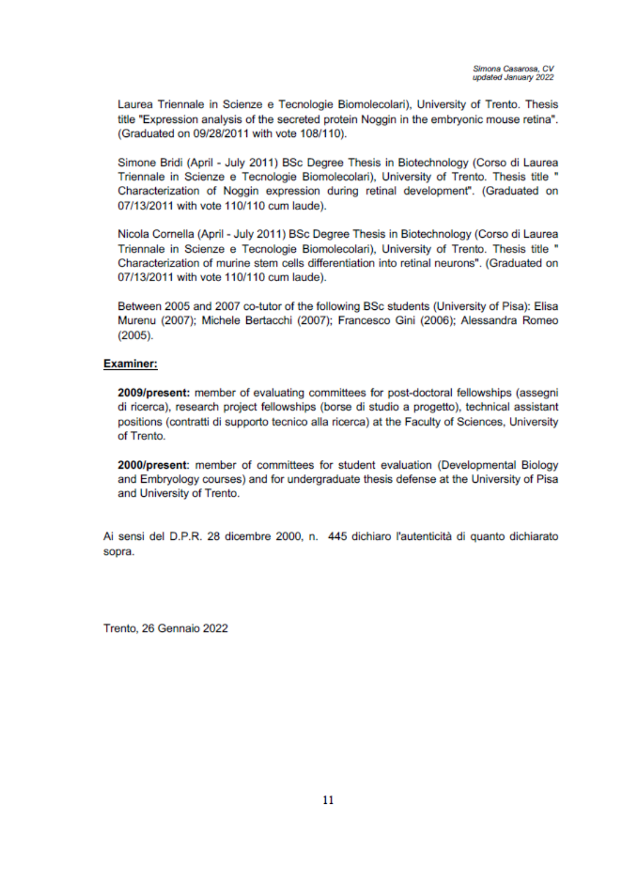Laurea Triennale in Scienze e Tecnologie Biomolecolari), University of Trento. Thesis title "Expression analysis of the secreted protein Noggin in the embryonic mouse retina". (Graduated on 09/28/2011 with vote 108/110).

Simone Bridi (April - July 2011) BSc Degree Thesis in Biotechnology (Corso di Laurea Triennale in Scienze e Tecnologie Biomolecolari), University of Trento. Thesis title " Characterization of Noggin expression during retinal development". (Graduated on 07/13/2011 with vote 110/110 cum laude).

Nicola Cornella (April - July 2011) BSc Degree Thesis in Biotechnology (Corso di Laurea Triennale in Scienze e Tecnologie Biomolecolari), University of Trento. Thesis title " Characterization of murine stem cells differentiation into retinal neurons". (Graduated on 07/13/2011 with vote 110/110 cum laude).

Between 2005 and 2007 co-tutor of the following BSc students (University of Pisa): Elisa Murenu (2007); Michele Bertacchi (2007); Francesco Gini (2006); Alessandra Romeo  $(2005).$ 

#### **Examiner:**

2009/present: member of evaluating committees for post-doctoral fellowships (assegni di ricerca), research project fellowships (borse di studio a progetto), technical assistant positions (contratti di supporto tecnico alla ricerca) at the Faculty of Sciences, University of Trento.

2000/present: member of committees for student evaluation (Developmental Biology and Embryology courses) and for undergraduate thesis defense at the University of Pisa and University of Trento.

Ai sensi del D.P.R. 28 dicembre 2000, n. 445 dichiaro l'autenticità di quanto dichiarato sopra.

Trento, 26 Gennaio 2022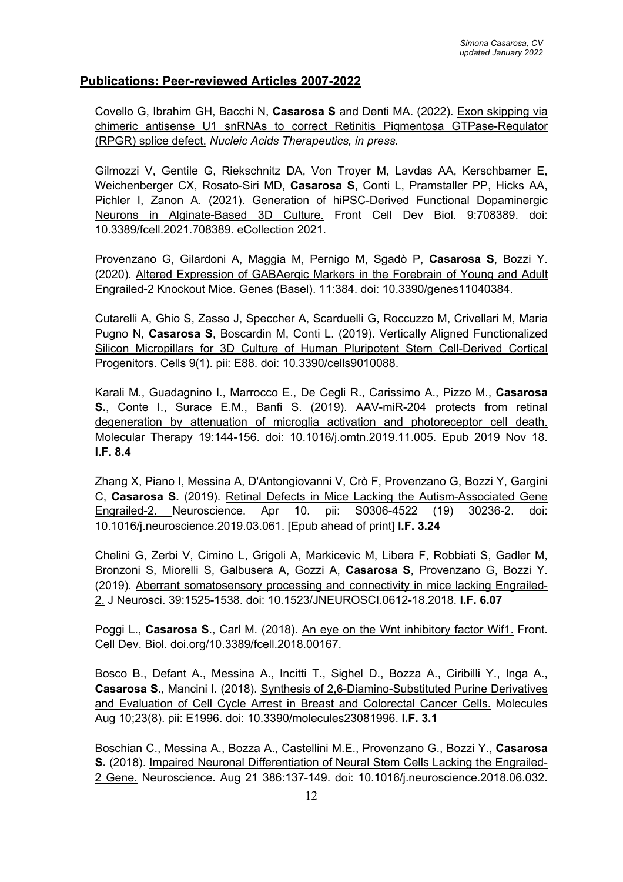# **Publications: Peer-reviewed Articles 2007-2022**

Covello G, Ibrahim GH, Bacchi N, **Casarosa S** and Denti MA. (2022). Exon skipping via chimeric antisense U1 snRNAs to correct Retinitis Pigmentosa GTPase-Regulator (RPGR) splice defect. *Nucleic Acids Therapeutics, in press.*

Gilmozzi V, Gentile G, Riekschnitz DA, Von Troyer M, Lavdas AA, Kerschbamer E, Weichenberger CX, Rosato-Siri MD, **Casarosa S**, Conti L, Pramstaller PP, Hicks AA, Pichler I, Zanon A. (2021). Generation of hiPSC-Derived Functional Dopaminergic Neurons in Alginate-Based 3D Culture. Front Cell Dev Biol. 9:708389. doi: 10.3389/fcell.2021.708389. eCollection 2021.

Provenzano G, Gilardoni A, Maggia M, Pernigo M, Sgadò P, **Casarosa S**, Bozzi Y. (2020). Altered Expression of GABAergic Markers in the Forebrain of Young and Adult Engrailed-2 Knockout Mice. Genes (Basel). 11:384. doi: 10.3390/genes11040384.

Cutarelli A, Ghio S, Zasso J, Speccher A, Scarduelli G, Roccuzzo M, Crivellari M, Maria Pugno N, **Casarosa S**, Boscardin M, Conti L. (2019). Vertically Aligned Functionalized Silicon Micropillars for 3D Culture of Human Pluripotent Stem Cell-Derived Cortical Progenitors. Cells 9(1). pii: E88. doi: 10.3390/cells9010088.

Karali M., Guadagnino I., Marrocco E., De Cegli R., Carissimo A., Pizzo M., **Casarosa S.**, Conte I., Surace E.M., Banfi S. (2019). AAV-miR-204 protects from retinal degeneration by attenuation of microglia activation and photoreceptor cell death. Molecular Therapy 19:144-156. doi: 10.1016/j.omtn.2019.11.005. Epub 2019 Nov 18. **I.F. 8.4**

Zhang X, Piano I, Messina A, D'Antongiovanni V, Crò F, Provenzano G, Bozzi Y, Gargini C, **Casarosa S.** (2019). Retinal Defects in Mice Lacking the Autism-Associated Gene Engrailed-2. Neuroscience. Apr 10. pii: S0306-4522 (19) 30236-2. doi: 10.1016/j.neuroscience.2019.03.061. [Epub ahead of print] **I.F. 3.24**

Chelini G, Zerbi V, Cimino L, Grigoli A, Markicevic M, Libera F, Robbiati S, Gadler M, Bronzoni S, Miorelli S, Galbusera A, Gozzi A, **Casarosa S**, Provenzano G, Bozzi Y. (2019). Aberrant somatosensory processing and connectivity in mice lacking Engrailed-2. J Neurosci. 39:1525-1538. doi: 10.1523/JNEUROSCI.0612-18.2018. **I.F. 6.07**

Poggi L., Casarosa S., Carl M. (2018). An eye on the Wnt inhibitory factor Wif1. Front. Cell Dev. Biol. doi.org/10.3389/fcell.2018.00167.

Bosco B., Defant A., Messina A., Incitti T., Sighel D., Bozza A., Ciribilli Y., Inga A., **Casarosa S.**, Mancini I. (2018). Synthesis of 2,6-Diamino-Substituted Purine Derivatives and Evaluation of Cell Cycle Arrest in Breast and Colorectal Cancer Cells. Molecules Aug 10;23(8). pii: E1996. doi: 10.3390/molecules23081996. **I.F. 3.1**

Boschian C., Messina A., Bozza A., Castellini M.E., Provenzano G., Bozzi Y., **Casarosa S.** (2018). Impaired Neuronal Differentiation of Neural Stem Cells Lacking the Engrailed-2 Gene. Neuroscience. Aug 21 386:137-149. doi: 10.1016/j.neuroscience.2018.06.032.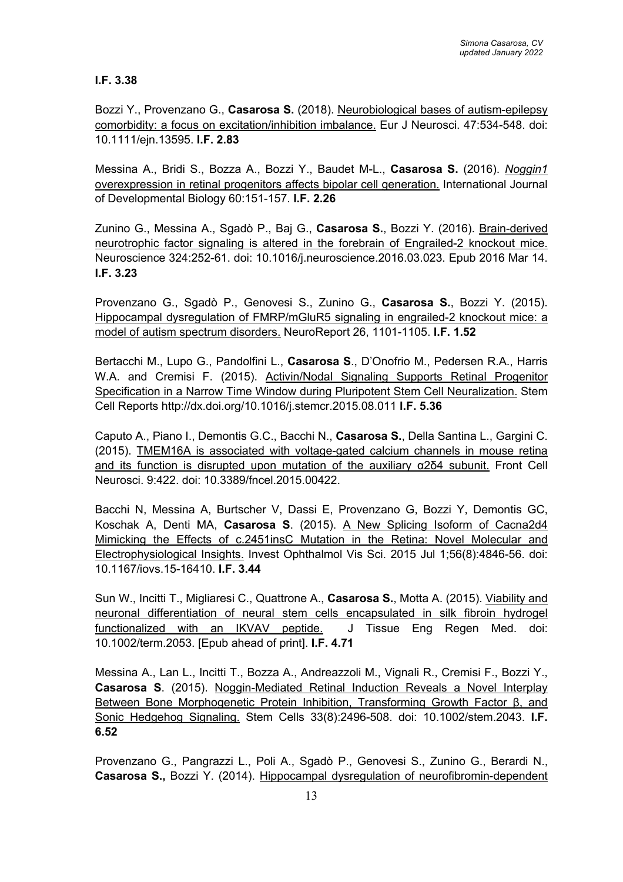# **I.F. 3.38**

Bozzi Y., Provenzano G., **Casarosa S.** (2018). Neurobiological bases of autism-epilepsy comorbidity: a focus on excitation/inhibition imbalance. Eur J Neurosci. 47:534-548. doi: 10.1111/ejn.13595. **I.F. 2.83**

Messina A., Bridi S., Bozza A., Bozzi Y., Baudet M-L., **Casarosa S.** (2016). *Noggin1*  overexpression in retinal progenitors affects bipolar cell generation. International Journal of Developmental Biology 60:151-157. **I.F. 2.26**

Zunino G., Messina A., Sgadò P., Baj G., **Casarosa S.**, Bozzi Y. (2016). Brain-derived neurotrophic factor signaling is altered in the forebrain of Engrailed-2 knockout mice. Neuroscience 324:252-61. doi: 10.1016/j.neuroscience.2016.03.023. Epub 2016 Mar 14. **I.F. 3.23**

Provenzano G., Sgadò P., Genovesi S., Zunino G., **Casarosa S.**, Bozzi Y. (2015). Hippocampal dysregulation of FMRP/mGluR5 signaling in engrailed-2 knockout mice: a model of autism spectrum disorders. NeuroReport 26, 1101-1105. **I.F. 1.52**

Bertacchi M., Lupo G., Pandolfini L., **Casarosa S**., D'Onofrio M., Pedersen R.A., Harris W.A. and Cremisi F. (2015). Activin/Nodal Signaling Supports Retinal Progenitor Specification in a Narrow Time Window during Pluripotent Stem Cell Neuralization. Stem Cell Reports http://dx.doi.org/10.1016/j.stemcr.2015.08.011 **I.F. 5.36**

Caputo A., Piano I., Demontis G.C., Bacchi N., **Casarosa S.**, Della Santina L., Gargini C. (2015). TMEM16A is associated with voltage-gated calcium channels in mouse retina and its function is disrupted upon mutation of the auxiliary α2δ4 subunit. Front Cell Neurosci. 9:422. doi: 10.3389/fncel.2015.00422.

Bacchi N, Messina A, Burtscher V, Dassi E, Provenzano G, Bozzi Y, Demontis GC, Koschak A, Denti MA, **Casarosa S**. (2015). A New Splicing Isoform of Cacna2d4 Mimicking the Effects of c.2451insC Mutation in the Retina: Novel Molecular and Electrophysiological Insights. Invest Ophthalmol Vis Sci. 2015 Jul 1;56(8):4846-56. doi: 10.1167/iovs.15-16410. **I.F. 3.44**

Sun W., Incitti T., Migliaresi C., Quattrone A., **Casarosa S.**, Motta A. (2015). Viability and neuronal differentiation of neural stem cells encapsulated in silk fibroin hydrogel functionalized with an IKVAV peptide. J Tissue Eng Regen Med. doi: 10.1002/term.2053. [Epub ahead of print]. **I.F. 4.71**

Messina A., Lan L., Incitti T., Bozza A., Andreazzoli M., Vignali R., Cremisi F., Bozzi Y., **Casarosa S**. (2015). Noggin-Mediated Retinal Induction Reveals a Novel Interplay Between Bone Morphogenetic Protein Inhibition, Transforming Growth Factor β, and Sonic Hedgehog Signaling. Stem Cells 33(8):2496-508. doi: 10.1002/stem.2043. **I.F. 6.52**

Provenzano G., Pangrazzi L., Poli A., Sgadò P., Genovesi S., Zunino G., Berardi N., **Casarosa S.,** Bozzi Y. (2014). Hippocampal dysregulation of neurofibromin-dependent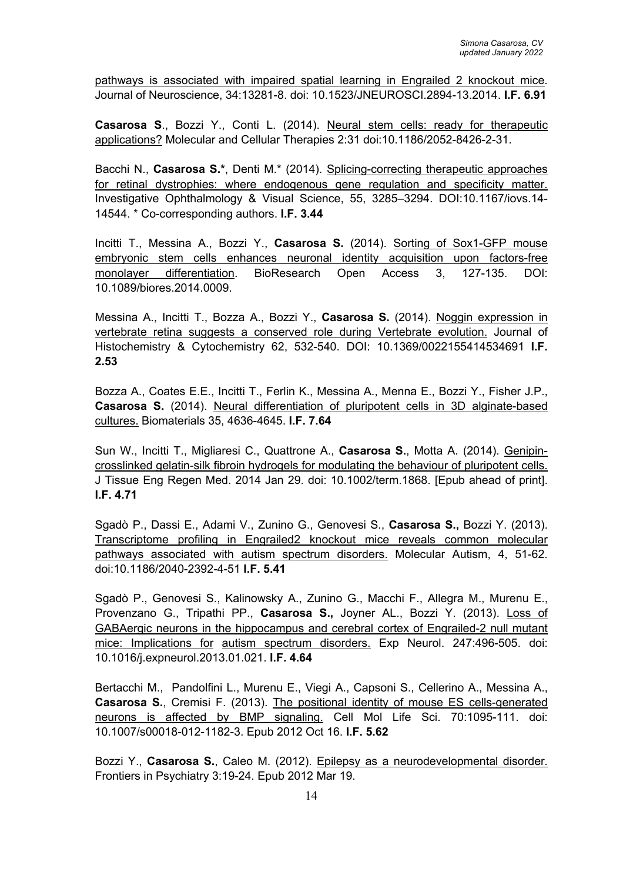pathways is associated with impaired spatial learning in Engrailed 2 knockout mice. Journal of Neuroscience, 34:13281-8. doi: 10.1523/JNEUROSCI.2894-13.2014. **I.F. 6.91**

**Casarosa S**., Bozzi Y., Conti L. (2014). Neural stem cells: ready for therapeutic applications? Molecular and Cellular Therapies 2:31 doi:10.1186/2052-8426-2-31.

Bacchi N., **Casarosa S.\***, Denti M.\* (2014). Splicing-correcting therapeutic approaches for retinal dystrophies: where endogenous gene regulation and specificity matter. Investigative Ophthalmology & Visual Science, 55, 3285–3294. DOI:10.1167/iovs.14- 14544. \* Co-corresponding authors. **I.F. 3.44**

Incitti T., Messina A., Bozzi Y., **Casarosa S.** (2014). Sorting of Sox1-GFP mouse embryonic stem cells enhances neuronal identity acquisition upon factors-free monolayer differentiation. BioResearch Open Access 3, 127-135. DOI: 10.1089/biores.2014.0009.

Messina A., Incitti T., Bozza A., Bozzi Y., **Casarosa S.** (2014). Noggin expression in vertebrate retina suggests a conserved role during Vertebrate evolution. Journal of Histochemistry & Cytochemistry 62, 532-540. DOI: 10.1369/0022155414534691 **I.F. 2.53**

Bozza A., Coates E.E., Incitti T., Ferlin K., Messina A., Menna E., Bozzi Y., Fisher J.P., **Casarosa S.** (2014). Neural differentiation of pluripotent cells in 3D alginate-based cultures. Biomaterials 35, 4636-4645. **I.F. 7.64**

Sun W., Incitti T., Migliaresi C., Quattrone A., **Casarosa S.**, Motta A. (2014). Genipincrosslinked gelatin-silk fibroin hydrogels for modulating the behaviour of pluripotent cells. J Tissue Eng Regen Med. 2014 Jan 29. doi: 10.1002/term.1868. [Epub ahead of print]. **I.F. 4.71**

Sgadò P., Dassi E., Adami V., Zunino G., Genovesi S., **Casarosa S.,** Bozzi Y. (2013). Transcriptome profiling in Engrailed2 knockout mice reveals common molecular pathways associated with autism spectrum disorders. Molecular Autism, 4, 51-62. doi:10.1186/2040-2392-4-51 **I.F. 5.41**

Sgadò P., Genovesi S., Kalinowsky A., Zunino G., Macchi F., Allegra M., Murenu E., Provenzano G., Tripathi PP., **Casarosa S.,** Joyner AL., Bozzi Y. (2013). Loss of GABAergic neurons in the hippocampus and cerebral cortex of Engrailed-2 null mutant mice: Implications for autism spectrum disorders. Exp Neurol. 247:496-505. doi: 10.1016/j.expneurol.2013.01.021. **I.F. 4.64**

Bertacchi M., Pandolfini L., Murenu E., Viegi A., Capsoni S., Cellerino A., Messina A., **Casarosa S.**, Cremisi F. (2013). The positional identity of mouse ES cells-generated neurons is affected by BMP signaling. Cell Mol Life Sci. 70:1095-111. doi: 10.1007/s00018-012-1182-3. Epub 2012 Oct 16. **I.F. 5.62**

Bozzi Y., **Casarosa S.**, Caleo M. (2012). Epilepsy as a neurodevelopmental disorder. Frontiers in Psychiatry 3:19-24. Epub 2012 Mar 19.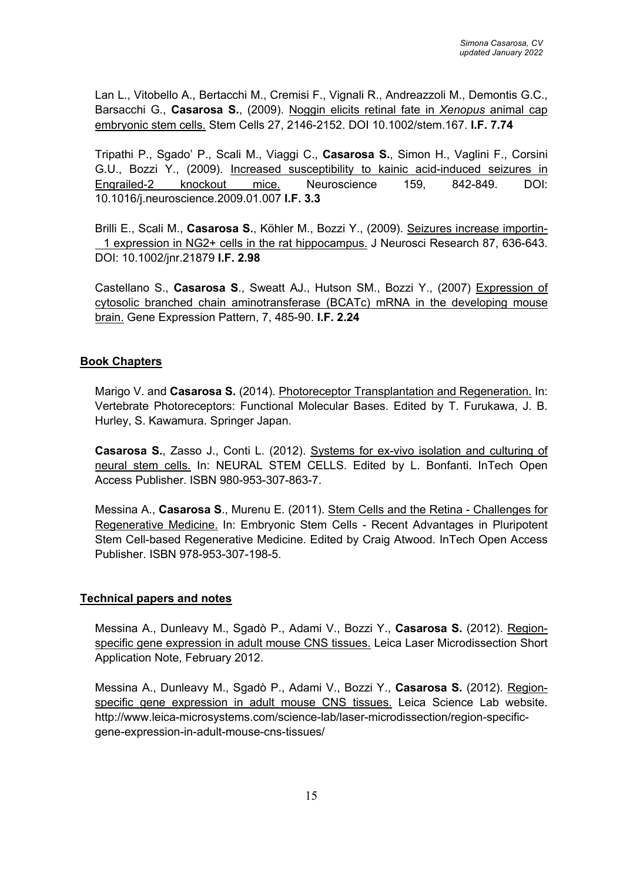Lan L., Vitobello A., Bertacchi M., Cremisi F., Vignali R., Andreazzoli M., Demontis G.C., Barsacchi G., **Casarosa S.**, (2009). Noggin elicits retinal fate in *Xenopus* animal cap embryonic stem cells. Stem Cells 27, 2146-2152. DOI 10.1002/stem.167. **I.F. 7.74**

Tripathi P., Sgado' P., Scali M., Viaggi C., **Casarosa S.**, Simon H., Vaglini F., Corsini G.U., Bozzi Y., (2009). Increased susceptibility to kainic acid-induced seizures in Engrailed-2 knockout mice. Neuroscience 159, 842-849. DOI: 10.1016/j.neuroscience.2009.01.007 **I.F. 3.3**

Brilli E., Scali M., **Casarosa S.**, Köhler M., Bozzi Y., (2009). Seizures increase importin- 1 expression in NG2+ cells in the rat hippocampus. J Neurosci Research 87, 636-643. DOI: 10.1002/jnr.21879 **I.F. 2.98**

Castellano S., **Casarosa S**., Sweatt AJ., Hutson SM., Bozzi Y., (2007) Expression of cytosolic branched chain aminotransferase (BCATc) mRNA in the developing mouse brain. Gene Expression Pattern, 7, 485-90. **I.F. 2.24**

## **Book Chapters**

Marigo V. and **Casarosa S.** (2014). Photoreceptor Transplantation and Regeneration. In: Vertebrate Photoreceptors: Functional Molecular Bases. Edited by T. Furukawa, J. B. Hurley, S. Kawamura. Springer Japan.

**Casarosa S.**, Zasso J., Conti L. (2012). Systems for ex-vivo isolation and culturing of neural stem cells. In: NEURAL STEM CELLS. Edited by L. Bonfanti. InTech Open Access Publisher. ISBN 980-953-307-863-7.

Messina A., **Casarosa S**., Murenu E. (2011). Stem Cells and the Retina - Challenges for Regenerative Medicine. In: Embryonic Stem Cells - Recent Advantages in Pluripotent Stem Cell-based Regenerative Medicine. Edited by Craig Atwood. InTech Open Access Publisher. ISBN 978-953-307-198-5.

### **Technical papers and notes**

Messina A., Dunleavy M., Sgadò P., Adami V., Bozzi Y., **Casarosa S.** (2012). Regionspecific gene expression in adult mouse CNS tissues. Leica Laser Microdissection Short Application Note, February 2012.

Messina A., Dunleavy M., Sgadò P., Adami V., Bozzi Y., **Casarosa S.** (2012). Regionspecific gene expression in adult mouse CNS tissues. Leica Science Lab website. http://www.leica-microsystems.com/science-lab/laser-microdissection/region-specificgene-expression-in-adult-mouse-cns-tissues/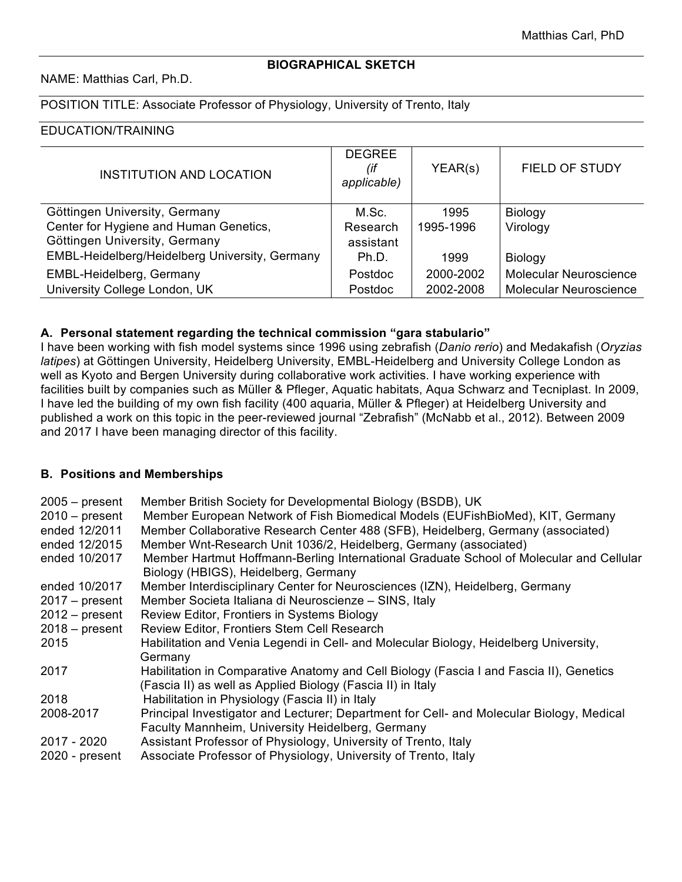#### **BIOGRAPHICAL SKETCH**

NAME: Matthias Carl, Ph.D.

### POSITION TITLE: Associate Professor of Physiology, University of Trento, Italy

### EDUCATION/TRAINING

| <b>INSTITUTION AND LOCATION</b>                | <b>DEGREE</b><br>(if<br>applicable) | YEAR(s)   | <b>FIELD OF STUDY</b>         |
|------------------------------------------------|-------------------------------------|-----------|-------------------------------|
| Göttingen University, Germany                  | M.Sc.                               | 1995      | Biology                       |
| Center for Hygiene and Human Genetics,         | Research                            | 1995-1996 | Virology                      |
| Göttingen University, Germany                  | assistant                           |           |                               |
| EMBL-Heidelberg/Heidelberg University, Germany | Ph.D.                               | 1999      | Biology                       |
| EMBL-Heidelberg, Germany                       | Postdoc                             | 2000-2002 | Molecular Neuroscience        |
| University College London, UK                  | Postdoc                             | 2002-2008 | <b>Molecular Neuroscience</b> |

#### **A. Personal statement regarding the technical commission "gara stabulario"**

I have been working with fish model systems since 1996 using zebrafish (*Danio rerio*) and Medakafish (*Oryzias latipes*) at Göttingen University, Heidelberg University, EMBL-Heidelberg and University College London as well as Kyoto and Bergen University during collaborative work activities. I have working experience with facilities built by companies such as Müller & Pfleger, Aquatic habitats, Aqua Schwarz and Tecniplast. In 2009, I have led the building of my own fish facility (400 aquaria, Müller & Pfleger) at Heidelberg University and published a work on this topic in the peer-reviewed journal "Zebrafish" (McNabb et al., 2012). Between 2009 and 2017 I have been managing director of this facility.

#### **B. Positions and Memberships**

| $2005 - present$<br>$2010 - present$<br>ended 12/2011<br>ended 12/2015 | Member British Society for Developmental Biology (BSDB), UK<br>Member European Network of Fish Biomedical Models (EUFishBioMed), KIT, Germany<br>Member Collaborative Research Center 488 (SFB), Heidelberg, Germany (associated)<br>Member Wnt-Research Unit 1036/2, Heidelberg, Germany (associated) |
|------------------------------------------------------------------------|--------------------------------------------------------------------------------------------------------------------------------------------------------------------------------------------------------------------------------------------------------------------------------------------------------|
| ended 10/2017                                                          | Member Hartmut Hoffmann-Berling International Graduate School of Molecular and Cellular<br>Biology (HBIGS), Heidelberg, Germany                                                                                                                                                                        |
| ended 10/2017                                                          | Member Interdisciplinary Center for Neurosciences (IZN), Heidelberg, Germany                                                                                                                                                                                                                           |
| $2017 - present$                                                       | Member Societa Italiana di Neuroscienze - SINS, Italy                                                                                                                                                                                                                                                  |
| $2012 - present$                                                       | Review Editor, Frontiers in Systems Biology                                                                                                                                                                                                                                                            |
| $2018 - present$                                                       | Review Editor, Frontiers Stem Cell Research                                                                                                                                                                                                                                                            |
| 2015                                                                   | Habilitation and Venia Legendi in Cell- and Molecular Biology, Heidelberg University,<br>Germany                                                                                                                                                                                                       |
| 2017                                                                   | Habilitation in Comparative Anatomy and Cell Biology (Fascia I and Fascia II), Genetics<br>(Fascia II) as well as Applied Biology (Fascia II) in Italy                                                                                                                                                 |
| 2018                                                                   | Habilitation in Physiology (Fascia II) in Italy                                                                                                                                                                                                                                                        |
| 2008-2017                                                              | Principal Investigator and Lecturer; Department for Cell- and Molecular Biology, Medical<br>Faculty Mannheim, University Heidelberg, Germany                                                                                                                                                           |
| 2017 - 2020                                                            | Assistant Professor of Physiology, University of Trento, Italy                                                                                                                                                                                                                                         |
| 2020 - present                                                         | Associate Professor of Physiology, University of Trento, Italy                                                                                                                                                                                                                                         |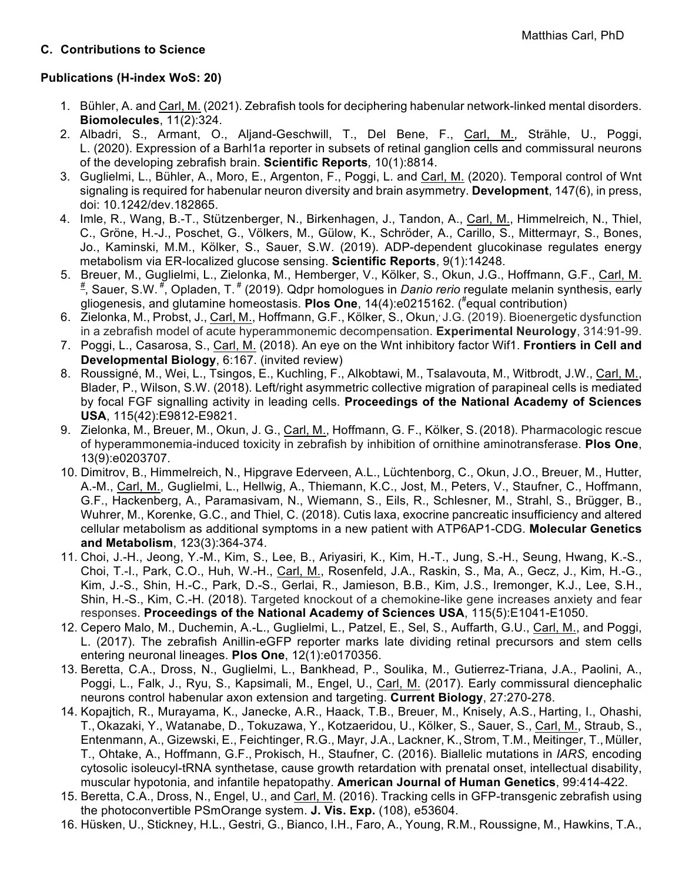## **C. Contributions to Science**

# **Publications (H-index WoS: 20)**

- 1. Bühler, A. and Carl, M. (2021). Zebrafish tools for deciphering habenular network-linked mental disorders. **Biomolecules**, 11(2):324.
- 2. Albadri, S., Armant, O., Aljand-Geschwill, T., Del Bene, F., Carl, M., Strähle, U., Poggi, L. (2020). Expression of a Barhl1a reporter in subsets of retinal ganglion cells and commissural neurons of the developing zebrafish brain. **Scientific Reports***,* 10(1):8814.
- 3. Guglielmi, L., Bühler, A., Moro, E., Argenton, F., Poggi, L. and Carl, M. (2020). Temporal control of Wnt signaling is required for habenular neuron diversity and brain asymmetry. **Development**, 147(6), in press, doi: 10.1242/dev.182865.
- 4. Imle, R., Wang, B.-T., Stützenberger, N., Birkenhagen, J., Tandon, A., Carl, M., Himmelreich, N., Thiel, C., Gröne, H.-J., Poschet, G., Völkers, M., Gülow, K., Schröder, A., Carillo, S., Mittermayr, S., Bones, Jo., Kaminski, M.M., Kölker, S., Sauer, S.W. (2019). ADP-dependent glucokinase regulates energy metabolism via ER-localized glucose sensing. **Scientific Reports**, 9(1):14248.
- 5. Breuer, M., Guglielmi, L., Zielonka, M., Hemberger, V., Kölker, S., Okun, J.G., Hoffmann, G.F., Carl, M. # , Sauer, S.W. # , Opladen, T. # (2019). Qdpr homologues in *Danio rerio* regulate melanin synthesis, early gliogenesis, and glutamine homeostasis. **Plos One**, 14(4):e0215162. (# equal contribution)
- 6. Zielonka, M., Probst, J., Carl, M., Hoffmann, G.F., Kölker, S., Okun,, J.G. (2019). Bioenergetic dysfunction in a zebrafish model of acute hyperammonemic decompensation. **Experimental Neurology**, 314:91-99.
- 7. Poggi, L., Casarosa, S., Carl, M. (2018). An eye on the Wnt inhibitory factor Wif1. **Frontiers in Cell and Developmental Biology**, 6:167. (invited review)
- 8. Roussigné, M., Wei, L., Tsingos, E., Kuchling, F., Alkobtawi, M., Tsalavouta, M., Witbrodt, J.W., Carl, M., Blader, P., Wilson, S.W. (2018). Left/right asymmetric collective migration of parapineal cells is mediated by focal FGF signalling activity in leading cells. **Proceedings of the National Academy of Sciences USA**, 115(42):E9812-E9821.
- 9. Zielonka, M., Breuer, M., Okun, J. G., Carl, M., Hoffmann, G. F., Kölker, S.(2018). Pharmacologic rescue of hyperammonemia-induced toxicity in zebrafish by inhibition of ornithine aminotransferase. **Plos One**, 13(9):e0203707.
- 10. Dimitrov, B., Himmelreich, N., Hipgrave Ederveen, A.L., Lüchtenborg, C., Okun, J.O., Breuer, M., Hutter, A.-M., Carl, M., Guglielmi, L., Hellwig, A., Thiemann, K.C., Jost, M., Peters, V., Staufner, C., Hoffmann, G.F., Hackenberg, A., Paramasivam, N., Wiemann, S., Eils, R., Schlesner, M., Strahl, S., Brügger, B., Wuhrer, M., Korenke, G.C., and Thiel, C. (2018). Cutis laxa, exocrine pancreatic insufficiency and altered cellular metabolism as additional symptoms in a new patient with ATP6AP1-CDG. **Molecular Genetics and Metabolism**, 123(3):364-374.
- 11. Choi, J.-H., Jeong, Y.-M., Kim, S., Lee, B., Ariyasiri, K., Kim, H.-T., Jung, S.-H., Seung, Hwang, K.-S., Choi, T.-I., Park, C.O., Huh, W.-H., Carl, M., Rosenfeld, J.A., Raskin, S., Ma, A., Gecz, J., Kim, H.-G., Kim, J.-S., Shin, H.-C., Park, D.-S., Gerlai, R., Jamieson, B.B., Kim, J.S., Iremonger, K.J., Lee, S.H., Shin, H.-S., Kim, C.-H. (2018). Targeted knockout of a chemokine-like gene increases anxiety and fear responses. **Proceedings of the National Academy of Sciences USA**, 115(5):E1041-E1050.
- 12. Cepero Malo, M., Duchemin, A.-L., Guglielmi, L., Patzel, E., Sel, S., Auffarth, G.U., Carl, M., and Poggi, L. (2017). The zebrafish Anillin-eGFP reporter marks late dividing retinal precursors and stem cells entering neuronal lineages. **Plos One**, 12(1):e0170356.
- 13. Beretta, C.A., Dross, N., Guglielmi, L., Bankhead, P., Soulika, M., Gutierrez-Triana, J.A., Paolini, A., Poggi, L., Falk, J., Ryu, S., Kapsimali, M., Engel, U., Carl, M. (2017). Early commissural diencephalic neurons control habenular axon extension and targeting. **Current Biology**, 27:270-278.
- 14. Kopajtich, R., Murayama, K., Janecke, A.R., Haack, T.B., Breuer, M., Knisely, A.S., Harting, I., Ohashi, T., Okazaki, Y., Watanabe, D., Tokuzawa, Y., Kotzaeridou, U., Kölker, S., Sauer, S., Carl, M., Straub, S., Entenmann, A., Gizewski, E., Feichtinger, R.G., Mayr, J.A., Lackner, K.,Strom, T.M., Meitinger, T., Müller, T., Ohtake, A., Hoffmann, G.F., Prokisch, H., Staufner, C. (2016). Biallelic mutations in *IARS,* encoding cytosolic isoleucyl-tRNA synthetase, cause growth retardation with prenatal onset, intellectual disability, muscular hypotonia, and infantile hepatopathy. **American Journal of Human Genetics**, 99:414-422.
- 15. Beretta, C.A., Dross, N., Engel, U., and Carl, M. (2016). Tracking cells in GFP-transgenic zebrafish using the photoconvertible PSmOrange system. **J. Vis. Exp.** (108), e53604.
- 16. Hüsken, U., Stickney, H.L., Gestri, G., Bianco, I.H., Faro, A., Young, R.M., Roussigne, M., Hawkins, T.A.,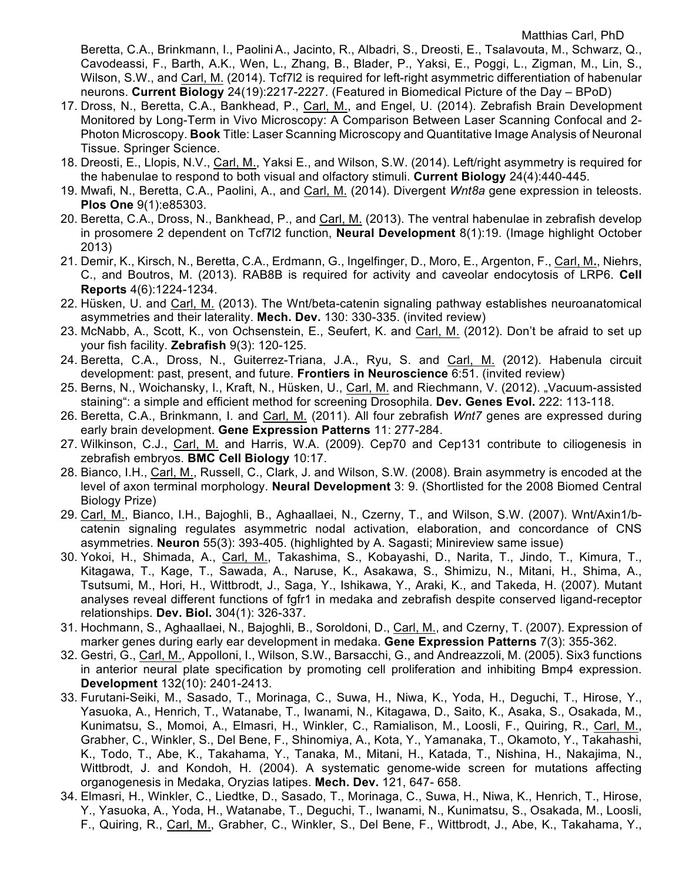Beretta, C.A., Brinkmann, I., Paolini A., Jacinto, R., Albadri, S., Dreosti, E., Tsalavouta, M., Schwarz, Q., Cavodeassi, F., Barth, A.K., Wen, L., Zhang, B., Blader, P., Yaksi, E., Poggi, L., Zigman, M., Lin, S., Wilson, S.W., and Carl, M. (2014). Tcf7l2 is required for left-right asymmetric differentiation of habenular neurons. **Current Biology** 24(19):2217-2227. (Featured in Biomedical Picture of the Day – BPoD)

- 17. Dross, N., Beretta, C.A., Bankhead, P., Carl, M., and Engel, U. (2014). Zebrafish Brain Development Monitored by Long-Term in Vivo Microscopy: A Comparison Between Laser Scanning Confocal and 2- Photon Microscopy. **Book** Title: Laser Scanning Microscopy and Quantitative Image Analysis of Neuronal Tissue. Springer Science.
- 18. Dreosti, E., Llopis, N.V., Carl, M., Yaksi E., and Wilson, S.W. (2014). Left/right asymmetry is required for the habenulae to respond to both visual and olfactory stimuli. **Current Biology** 24(4):440-445.
- 19. Mwafi, N., Beretta, C.A., Paolini, A., and Carl, M. (2014). Divergent *Wnt8a* gene expression in teleosts. **Plos One** 9(1):e85303.
- 20. Beretta, C.A., Dross, N., Bankhead, P., and Carl, M. (2013). The ventral habenulae in zebrafish develop in prosomere 2 dependent on Tcf7l2 function, **Neural Development** 8(1):19. (Image highlight October 2013)
- 21. Demir, K., Kirsch, N., Beretta, C.A., Erdmann, G., Ingelfinger, D., Moro, E., Argenton, F., Carl, M**.**, Niehrs, C., and Boutros, M. (2013). RAB8B is required for activity and caveolar endocytosis of LRP6. **Cell Reports** 4(6):1224-1234.
- 22. Hüsken, U. and Carl, M. (2013). The Wnt/beta-catenin signaling pathway establishes neuroanatomical asymmetries and their laterality. **Mech. Dev.** 130: 330-335. (invited review)
- 23. McNabb, A., Scott, K., von Ochsenstein, E., Seufert, K. and Carl, M. (2012). Don't be afraid to set up your fish facility. **Zebrafish** 9(3): 120-125.
- 24. Beretta, C.A., Dross, N., Guiterrez-Triana, J.A., Ryu, S. and Carl, M. (2012). Habenula circuit development: past, present, and future. **Frontiers in Neuroscience** 6:51. (invited review)
- 25. Berns, N., Woichansky, I., Kraft, N., Hüsken, U., Carl, M. and Riechmann, V. (2012). "Vacuum-assisted staining": a simple and efficient method for screening Drosophila. **Dev. Genes Evol.** 222: 113-118.
- 26. Beretta, C.A., Brinkmann, I. and Carl, M. (2011). All four zebrafish *Wnt7* genes are expressed during early brain development. **Gene Expression Patterns** 11: 277-284.
- 27. Wilkinson, C.J., Carl, M. and Harris, W.A. (2009). Cep70 and Cep131 contribute to ciliogenesis in zebrafish embryos. **BMC Cell Biology** 10:17.
- 28. Bianco, I.H., Carl, M., Russell, C., Clark, J. and Wilson, S.W. (2008). Brain asymmetry is encoded at the level of axon terminal morphology. **Neural Development** 3: 9. (Shortlisted for the 2008 Biomed Central Biology Prize)
- 29. Carl, M., Bianco, I.H., Bajoghli, B., Aghaallaei, N., Czerny, T., and Wilson, S.W. (2007). Wnt/Axin1/bcatenin signaling regulates asymmetric nodal activation, elaboration, and concordance of CNS asymmetries. **Neuron** 55(3): 393-405. (highlighted by A. Sagasti; Minireview same issue)
- 30. Yokoi, H., Shimada, A., Carl, M., Takashima, S., Kobayashi, D., Narita, T., Jindo, T., Kimura, T., Kitagawa, T., Kage, T., Sawada, A., Naruse, K., Asakawa, S., Shimizu, N., Mitani, H., Shima, A., Tsutsumi, M., Hori, H., Wittbrodt, J., Saga, Y., Ishikawa, Y., Araki, K., and Takeda, H. (2007). Mutant analyses reveal different functions of fgfr1 in medaka and zebrafish despite conserved ligand-receptor relationships. **Dev. Biol.** 304(1): 326-337.
- 31. Hochmann, S., Aghaallaei, N., Bajoghli, B., Soroldoni, D., Carl, M., and Czerny, T. (2007). Expression of marker genes during early ear development in medaka. **Gene Expression Patterns** 7(3): 355-362.
- 32. Gestri, G., Carl, M., Appolloni, I., Wilson, S.W., Barsacchi, G., and Andreazzoli, M. (2005). Six3 functions in anterior neural plate specification by promoting cell proliferation and inhibiting Bmp4 expression. **Development** 132(10): 2401-2413.
- 33. Furutani-Seiki, M., Sasado, T., Morinaga, C., Suwa, H., Niwa, K., Yoda, H., Deguchi, T., Hirose, Y., Yasuoka, A., Henrich, T., Watanabe, T., Iwanami, N., Kitagawa, D., Saito, K., Asaka, S., Osakada, M., Kunimatsu, S., Momoi, A., Elmasri, H., Winkler, C., Ramialison, M., Loosli, F., Quiring, R., Carl, M., Grabher, C., Winkler, S., Del Bene, F., Shinomiya, A., Kota, Y., Yamanaka, T., Okamoto, Y., Takahashi, K., Todo, T., Abe, K., Takahama, Y., Tanaka, M., Mitani, H., Katada, T., Nishina, H., Nakajima, N., Wittbrodt, J. and Kondoh, H. (2004). A systematic genome-wide screen for mutations affecting organogenesis in Medaka, Oryzias latipes. **Mech. Dev.** 121, 647- 658.
- 34. Elmasri, H., Winkler, C., Liedtke, D., Sasado, T., Morinaga, C., Suwa, H., Niwa, K., Henrich, T., Hirose, Y., Yasuoka, A., Yoda, H., Watanabe, T., Deguchi, T., Iwanami, N., Kunimatsu, S., Osakada, M., Loosli, F., Quiring, R., Carl, M., Grabher, C., Winkler, S., Del Bene, F., Wittbrodt, J., Abe, K., Takahama, Y.,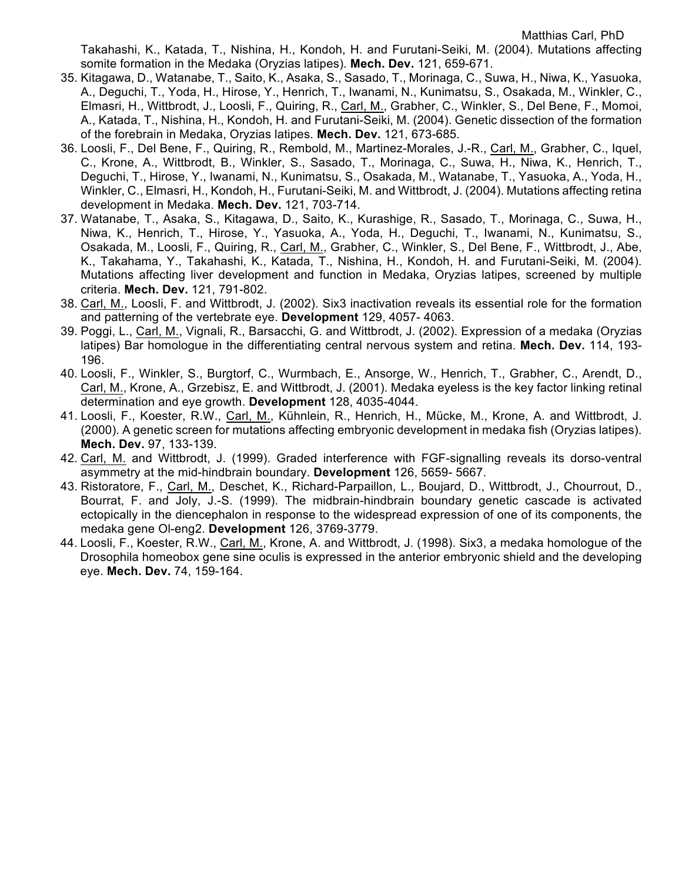Takahashi, K., Katada, T., Nishina, H., Kondoh, H. and Furutani-Seiki, M. (2004). Mutations affecting somite formation in the Medaka (Oryzias latipes). **Mech. Dev.** 121, 659-671.

- 35. Kitagawa, D., Watanabe, T., Saito, K., Asaka, S., Sasado, T., Morinaga, C., Suwa, H., Niwa, K., Yasuoka, A., Deguchi, T., Yoda, H., Hirose, Y., Henrich, T., Iwanami, N., Kunimatsu, S., Osakada, M., Winkler, C., Elmasri, H., Wittbrodt, J., Loosli, F., Quiring, R., Carl, M., Grabher, C., Winkler, S., Del Bene, F., Momoi, A., Katada, T., Nishina, H., Kondoh, H. and Furutani-Seiki, M. (2004). Genetic dissection of the formation of the forebrain in Medaka, Oryzias latipes. **Mech. Dev.** 121, 673-685.
- 36. Loosli, F., Del Bene, F., Quiring, R., Rembold, M., Martinez-Morales, J.-R., Carl, M., Grabher, C., Iquel, C., Krone, A., Wittbrodt, B., Winkler, S., Sasado, T., Morinaga, C., Suwa, H., Niwa, K., Henrich, T., Deguchi, T., Hirose, Y., Iwanami, N., Kunimatsu, S., Osakada, M., Watanabe, T., Yasuoka, A., Yoda, H., Winkler, C., Elmasri, H., Kondoh, H., Furutani-Seiki, M. and Wittbrodt, J. (2004). Mutations affecting retina development in Medaka. **Mech. Dev.** 121, 703-714.
- 37. Watanabe, T., Asaka, S., Kitagawa, D., Saito, K., Kurashige, R., Sasado, T., Morinaga, C., Suwa, H., Niwa, K., Henrich, T., Hirose, Y., Yasuoka, A., Yoda, H., Deguchi, T., Iwanami, N., Kunimatsu, S., Osakada, M., Loosli, F., Quiring, R., Carl, M., Grabher, C., Winkler, S., Del Bene, F., Wittbrodt, J., Abe, K., Takahama, Y., Takahashi, K., Katada, T., Nishina, H., Kondoh, H. and Furutani-Seiki, M. (2004). Mutations affecting liver development and function in Medaka, Oryzias latipes, screened by multiple criteria. **Mech. Dev.** 121, 791-802.
- 38. Carl, M., Loosli, F. and Wittbrodt, J. (2002). Six3 inactivation reveals its essential role for the formation and patterning of the vertebrate eye. **Development** 129, 4057- 4063.
- 39. Poggi, L., Carl, M., Vignali, R., Barsacchi, G. and Wittbrodt, J. (2002). Expression of a medaka (Oryzias latipes) Bar homologue in the differentiating central nervous system and retina. **Mech. Dev.** 114, 193- 196.
- 40. Loosli, F., Winkler, S., Burgtorf, C., Wurmbach, E., Ansorge, W., Henrich, T., Grabher, C., Arendt, D., Carl, M., Krone, A., Grzebisz, E. and Wittbrodt, J. (2001). Medaka eyeless is the key factor linking retinal determination and eye growth. **Development** 128, 4035-4044.
- 41. Loosli, F., Koester, R.W., Carl, M., Kühnlein, R., Henrich, H., Mücke, M., Krone, A. and Wittbrodt, J. (2000). A genetic screen for mutations affecting embryonic development in medaka fish (Oryzias latipes). **Mech. Dev.** 97, 133-139.
- 42. Carl, M. and Wittbrodt, J. (1999). Graded interference with FGF-signalling reveals its dorso-ventral asymmetry at the mid-hindbrain boundary. **Development** 126, 5659- 5667.
- 43. Ristoratore, F., Carl, M., Deschet, K., Richard-Parpaillon, L., Boujard, D., Wittbrodt, J., Chourrout, D., Bourrat, F. and Joly, J.-S. (1999). The midbrain-hindbrain boundary genetic cascade is activated ectopically in the diencephalon in response to the widespread expression of one of its components, the medaka gene Ol-eng2. **Development** 126, 3769-3779.
- 44. Loosli, F., Koester, R.W., Carl, M., Krone, A. and Wittbrodt, J. (1998). Six3, a medaka homologue of the Drosophila homeobox gene sine oculis is expressed in the anterior embryonic shield and the developing eye. **Mech. Dev.** 74, 159-164.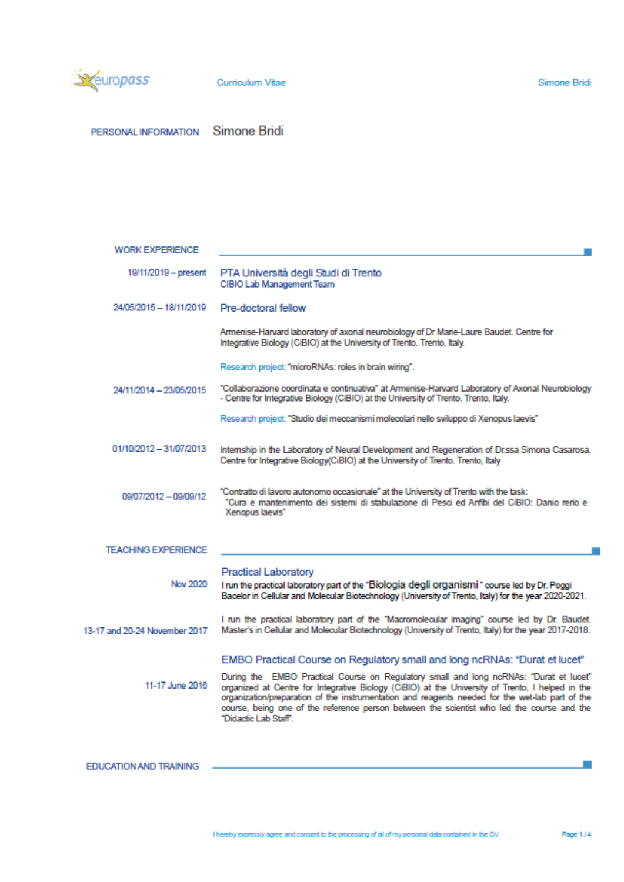

PERSONAL INFORMATION Simone Bridi

| WORK EXPERIENCE               |                                                                                                                                                                                                                                                                                                                                                                                                                     |
|-------------------------------|---------------------------------------------------------------------------------------------------------------------------------------------------------------------------------------------------------------------------------------------------------------------------------------------------------------------------------------------------------------------------------------------------------------------|
| 19/11/2019 - present          | PTA Università degli Studi di Trento<br>CIBIO Lab Management Team                                                                                                                                                                                                                                                                                                                                                   |
| 24/05/2015 - 18/11/2019       | Pre-doctoral fellow                                                                                                                                                                                                                                                                                                                                                                                                 |
|                               | Armenise-Harvard laboratory of axonal neurobiology of Dr Marie-Laure Baudet. Centre for<br>Integrative Biology (CiBIO) at the University of Trento. Trento, Italy.                                                                                                                                                                                                                                                  |
|                               | Research project: "microRNAs: roles in brain wiring".                                                                                                                                                                                                                                                                                                                                                               |
| 24/11/2014 - 23/05/2015       | "Collaborazione coordinata e continuativa" at Armenise-Harvard Laboratory of Axonal Neurobiology<br>- Centre for Integrative Biology (CiBIO) at the University of Trento. Trento, Italy.                                                                                                                                                                                                                            |
|                               | Research project: "Studio dei meccanismi molecolari nello sviluppo di Xenopus laevis"                                                                                                                                                                                                                                                                                                                               |
| 01/10/2012 - 31/07/2013       | Internship in the Laboratory of Neural Development and Regeneration of Dr.ssa Simona Casarosa.<br>Centre for Integrative Biology(CiBIO) at the University of Trento. Trento, Italy                                                                                                                                                                                                                                  |
| 09/07/2012 - 09/09/12         | "Contratto di lavoro autonomo occasionale" at the University of Trento with the task:<br>"Cura e mantenimento dei sistemi di stabulazione di Pesci ed Anfibi del CiBIO: Danio rerio e<br>Xenopus laevis"                                                                                                                                                                                                            |
| <b>TEACHING EXPERIENCE</b>    |                                                                                                                                                                                                                                                                                                                                                                                                                     |
| Nov 2020                      | Practical Laboratory<br>I run the practical laboratory part of the "Biologia degli organismi" course led by Dr. Poggi<br>Bacelor in Cellular and Molecular Biotechnology (University of Trento, Italy) for the year 2020-2021.                                                                                                                                                                                      |
| 13-17 and 20-24 November 2017 | I run the practical laboratory part of the "Macromolecular imaging" course led by Dr. Baudet.<br>Master's in Cellular and Molecular Biotechnology (University of Trento, Italy) for the year 2017-2018.                                                                                                                                                                                                             |
|                               | EMBO Practical Course on Regulatory small and long ncRNAs: "Durat et lucet"                                                                                                                                                                                                                                                                                                                                         |
| 11-17 June 2016               | During the EMBO Practical Course on Regulatory small and long ncRNAs: "Durat et lucet"<br>organized at Centre for Integrative Biology (CiBIO) at the University of Trento, I helped in the<br>organization/preparation of the instrumentation and reagents needed for the wet-lab part of the<br>course, being one of the reference person between the scientist who led the course and the<br>"Didactic Lab Staff" |
|                               |                                                                                                                                                                                                                                                                                                                                                                                                                     |
| <b>EDUCATION AND TRAINING</b> |                                                                                                                                                                                                                                                                                                                                                                                                                     |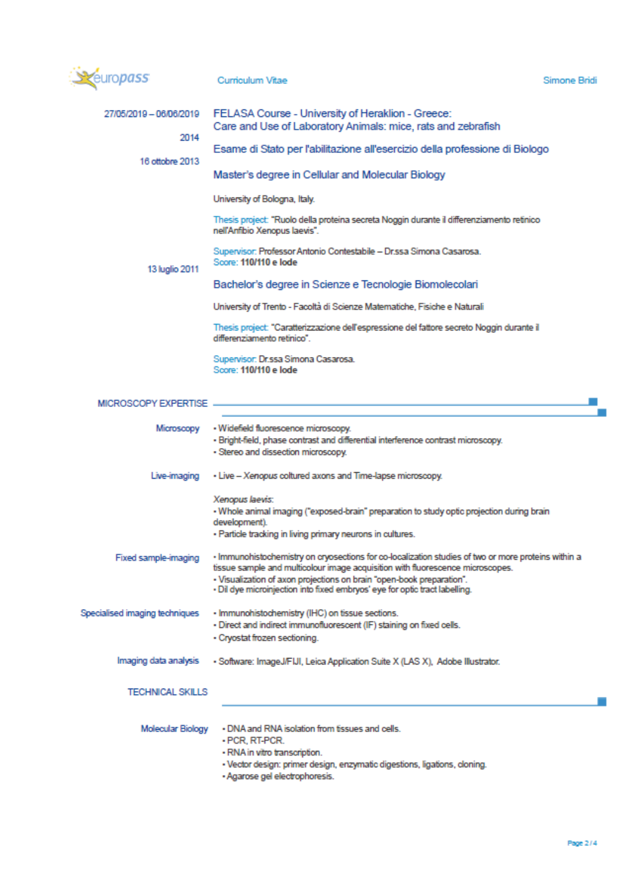| uropass                                                                                                                                                                                                                                                                                                                                                               | Curriculum Vitae                                                                                                                                                                             | Simone Bridi |
|-----------------------------------------------------------------------------------------------------------------------------------------------------------------------------------------------------------------------------------------------------------------------------------------------------------------------------------------------------------------------|----------------------------------------------------------------------------------------------------------------------------------------------------------------------------------------------|--------------|
| 27/05/2019 - 06/06/2019                                                                                                                                                                                                                                                                                                                                               | FELASA Course - University of Heraklion - Greece:<br>Care and Use of Laboratory Animals: mice, rats and zebrafish                                                                            |              |
| 2014                                                                                                                                                                                                                                                                                                                                                                  | Esame di Stato per l'abilitazione all'esercizio della professione di Biologo                                                                                                                 |              |
| 16 ottobre 2013                                                                                                                                                                                                                                                                                                                                                       | Master's degree in Cellular and Molecular Biology                                                                                                                                            |              |
|                                                                                                                                                                                                                                                                                                                                                                       | University of Bologna, Italy.                                                                                                                                                                |              |
|                                                                                                                                                                                                                                                                                                                                                                       | Thesis project: "Ruolo della proteina secreta Noggin durante il differenziamento retinico<br>nell'Anfibio Xenopus laevis".                                                                   |              |
| 13 luglio 2011                                                                                                                                                                                                                                                                                                                                                        | Supervisor: Professor Antonio Contestabile - Dr.ssa Simona Casarosa.<br>Score: 110/110 e lode                                                                                                |              |
|                                                                                                                                                                                                                                                                                                                                                                       | Bachelor's degree in Scienze e Tecnologie Biomolecolari                                                                                                                                      |              |
|                                                                                                                                                                                                                                                                                                                                                                       | University of Trento - Facoltà di Scienze Matematiche, Fisiche e Naturali                                                                                                                    |              |
|                                                                                                                                                                                                                                                                                                                                                                       | Thesis project: "Caratterizzazione dell'espressione del fattore secreto Noggin durante il<br>differenziamento retinico".                                                                     |              |
|                                                                                                                                                                                                                                                                                                                                                                       | Supervisor: Dr.ssa Simona Casarosa.<br>Score: 110/110 e lode                                                                                                                                 |              |
| MICROSCOPY EXPERTISE -                                                                                                                                                                                                                                                                                                                                                |                                                                                                                                                                                              |              |
|                                                                                                                                                                                                                                                                                                                                                                       | Microscopy - Widefield fluorescence microscopy.<br>· Bright-field, phase contrast and differential interference contrast microscopy.<br>- Stereo and dissection microscopy.                  |              |
| Live-imaging                                                                                                                                                                                                                                                                                                                                                          | - Live - Xenopus coltured axons and Time-lapse microscopy.                                                                                                                                   |              |
|                                                                                                                                                                                                                                                                                                                                                                       | Xenopus laevis:<br>- Whole animal imaging ("exposed-brain" preparation to study optic projection during brain<br>development).<br>- Particle tracking in living primary neurons in cultures. |              |
| · Immunohistochemistry on cryosections for co-localization studies of two or more proteins within a<br>Fixed sample-imaging<br>tissue sample and multicolour image acquisition with fluorescence microscopes.<br>- Visualization of axon projections on brain "open-book preparation".<br>. Dil dye microinjection into fixed embryos' eye for optic tract labelling. |                                                                                                                                                                                              |              |
| Specialised imaging techniques                                                                                                                                                                                                                                                                                                                                        | - Immunohistochemistry (IHC) on tissue sections.<br>- Direct and indirect immunofluorescent (IF) staining on fixed cells.<br>- Cryostat frozen sectioning.                                   |              |
| Imaging data analysis                                                                                                                                                                                                                                                                                                                                                 | - Software: ImageJ/FIJI, Leica Application Suite X (LAS X), Adobe Illustrator.                                                                                                               |              |
| TECHNICAL SKILLS                                                                                                                                                                                                                                                                                                                                                      |                                                                                                                                                                                              |              |
| Molecular Biology                                                                                                                                                                                                                                                                                                                                                     | . DNA and RNA isolation from tissues and cells.                                                                                                                                              |              |

- PCR, RT-PCR.
- RNA in vitro transcription.
- Vector design: primer design, enzymatic digestions, ligations, cloning.<br>- Agarose gel electrophoresis.
- 

л

 $\overline{\phantom{a}}$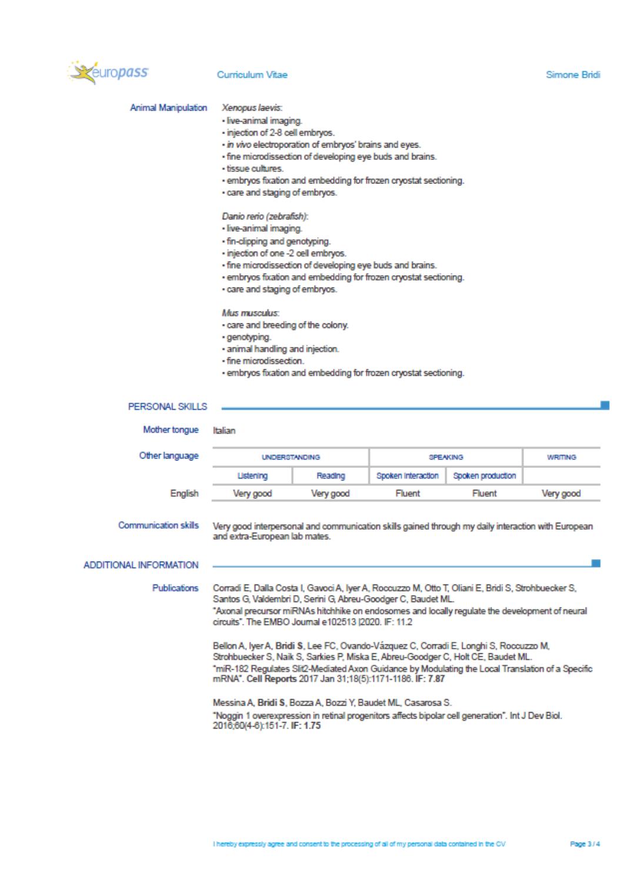

#### Curriculum Vitae

Xenopus laevis:

#### Animal Manipulation

- live-animal imaging.
- injection of 2-8 cell embryos.
- · in vivo electroporation of embryos' brains and eyes.
- · fine microdissection of developing eye buds and brains.
- · tissue cultures.
- · embryos fixation and embedding for frozen cryostat sectioning.
- · care and staging of embryos.

#### Danio rerio (zebrafish):

- · live-animal imaging.
- · fin-clipping and genotyping.
- · injection of one -2 cell embryos.
- · fine microdissection of developing eye buds and brains.
- · embryos fixation and embedding for frozen cryostat sectioning.
- · care and staging of embryos.

#### Mus musculus:

- · care and breeding of the colony.
- · genotyping.
- · animal handling and injection.
- · fine microdissection.
- · embryos fixation and embedding for frozen cryostat sectioning.

| PERSONAL SKILLS        |                                                                                                                                                                                                                                                                                                                                             |           |                    |                   |           |
|------------------------|---------------------------------------------------------------------------------------------------------------------------------------------------------------------------------------------------------------------------------------------------------------------------------------------------------------------------------------------|-----------|--------------------|-------------------|-----------|
| Mother tongue          | Italian                                                                                                                                                                                                                                                                                                                                     |           |                    |                   |           |
| Other language         | <b>UNDERSTANDING</b>                                                                                                                                                                                                                                                                                                                        |           | <b>SPEAKING</b>    |                   | WRITING   |
|                        | Listening                                                                                                                                                                                                                                                                                                                                   | Reading   | Spoken Interaction | Spoken production |           |
| English                | Very good                                                                                                                                                                                                                                                                                                                                   | Very good | Fluent             | Fluent            | Very good |
| Communication skills   | Very good interpersonal and communication skills gained through my daily interaction with European<br>and extra-European lab mates.                                                                                                                                                                                                         |           |                    |                   |           |
| ADDITIONAL INFORMATION |                                                                                                                                                                                                                                                                                                                                             |           |                    |                   |           |
| <b>Publications</b>    | Corradi E, Dalla Costa I, Gavoci A, Iyer A, Roccuzzo M, Otto T, Oliani E, Bridi S, Strohbuecker S,<br>Santos G, Valdembri D, Serini G, Abreu-Goodger C, Baudet ML.<br>"Axonal precursor miRNAs hitchhike on endosomes and locally regulate the development of neural<br>circuits". The EMBO Journal e102513 I2020. IF: 11.2                 |           |                    |                   |           |
|                        | Bellon A, Iyer A, Bridi S, Lee FC, Ovando-Vázquez C, Corradi E, Longhi S, Roccuzzo M,<br>Strohbuecker S, Naik S, Sarkies P, Miska E, Abreu-Goodger C, Holt CE, Baudet ML.<br>"miR-182 Regulates Slit2-Mediated Axon Guidance by Modulating the Local Translation of a Specific<br>mRNA". Cell Reports 2017 Jan 31:18(5):1171-1186. IF: 7.87 |           |                    |                   |           |
|                        | Messina A, Bridi S, Bozza A, Bozzi Y, Baudet ML, Casarosa S.<br>"Noggin 1 overexpression in retinal progenitors affects bipolar cell generation". Int J Dev Biol.<br>2016;60(4-6):151-7. IF: 1.75                                                                                                                                           |           |                    |                   |           |